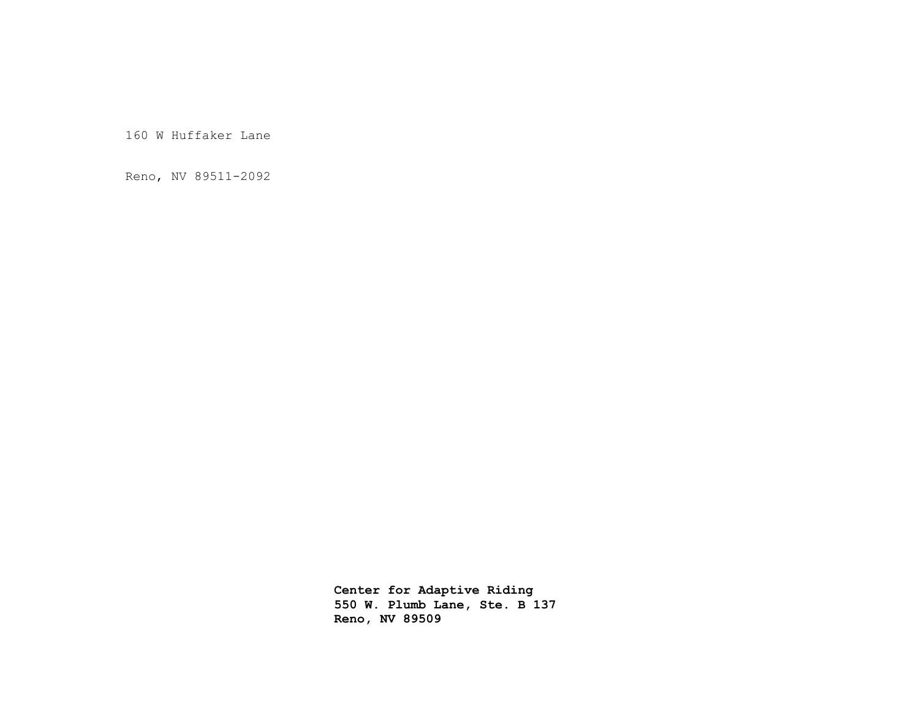160 W Huffaker Lane

Reno, NV 89511-2092

**Center for Adaptive Riding 550 W. Plumb Lane, Ste. B 137 Reno, NV 89509**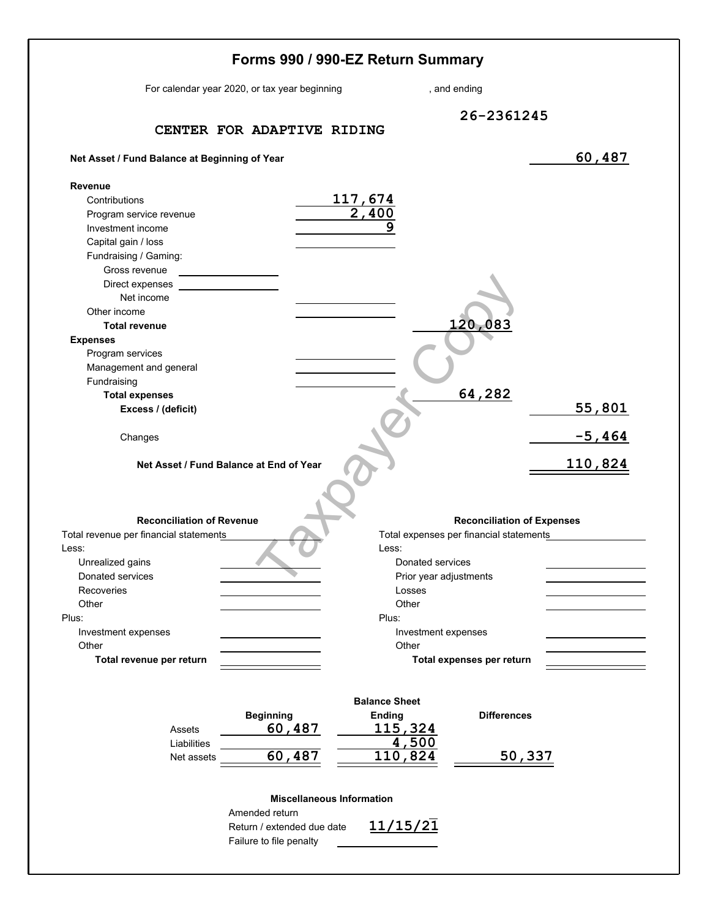|                                                                                                                                                                                                                                                                                                                                                                                                                                                                                                                                                                                                                                           | Forms 990 / 990-EZ Return Summary                                                                                                                                                                                                                                                                           |
|-------------------------------------------------------------------------------------------------------------------------------------------------------------------------------------------------------------------------------------------------------------------------------------------------------------------------------------------------------------------------------------------------------------------------------------------------------------------------------------------------------------------------------------------------------------------------------------------------------------------------------------------|-------------------------------------------------------------------------------------------------------------------------------------------------------------------------------------------------------------------------------------------------------------------------------------------------------------|
| For calendar year 2020, or tax year beginning                                                                                                                                                                                                                                                                                                                                                                                                                                                                                                                                                                                             | , and ending                                                                                                                                                                                                                                                                                                |
| CENTER FOR ADAPTIVE RIDING                                                                                                                                                                                                                                                                                                                                                                                                                                                                                                                                                                                                                | 26-2361245                                                                                                                                                                                                                                                                                                  |
| Net Asset / Fund Balance at Beginning of Year                                                                                                                                                                                                                                                                                                                                                                                                                                                                                                                                                                                             | 60,487                                                                                                                                                                                                                                                                                                      |
| <b>Revenue</b><br>Contributions<br>Program service revenue<br>Investment income<br>Capital gain / loss<br>Fundraising / Gaming:<br>Gross revenue<br>Direct expenses<br>Net income<br>Other income<br><b>Total revenue</b><br><b>Expenses</b><br>Program services<br>Management and general<br>Fundraising<br><b>Total expenses</b><br>Excess / (deficit)<br>Changes<br>Net Asset / Fund Balance at End of Year<br><b>Reconciliation of Revenue</b><br>Total revenue per financial statements<br>Less:<br>Unrealized gains<br>Donated services<br>Recoveries<br>Other<br>Plus:<br>Investment expenses<br>Other<br>Total revenue per return | 117,674<br>2,400<br>120,083<br>64,282<br>55,801<br><u>–5,464</u><br>110,824<br><b>Reconciliation of Expenses</b><br>Total expenses per financial statements<br>Less:<br>Donated services<br>Prior year adjustments<br>Losses<br>Other<br>Plus:<br>Investment expenses<br>Other<br>Total expenses per return |
| <b>Beginning</b><br>60,487<br>Assets<br>Liabilities<br>60,487<br>Net assets                                                                                                                                                                                                                                                                                                                                                                                                                                                                                                                                                               | <b>Balance Sheet</b><br><b>Ending</b><br><b>Differences</b><br>115,324<br>4,500<br>110,824<br><u>50,337</u>                                                                                                                                                                                                 |
| <b>Miscellaneous Information</b><br>Amended return<br>Return / extended due date<br>Failure to file penalty                                                                                                                                                                                                                                                                                                                                                                                                                                                                                                                               | 11/15/21                                                                                                                                                                                                                                                                                                    |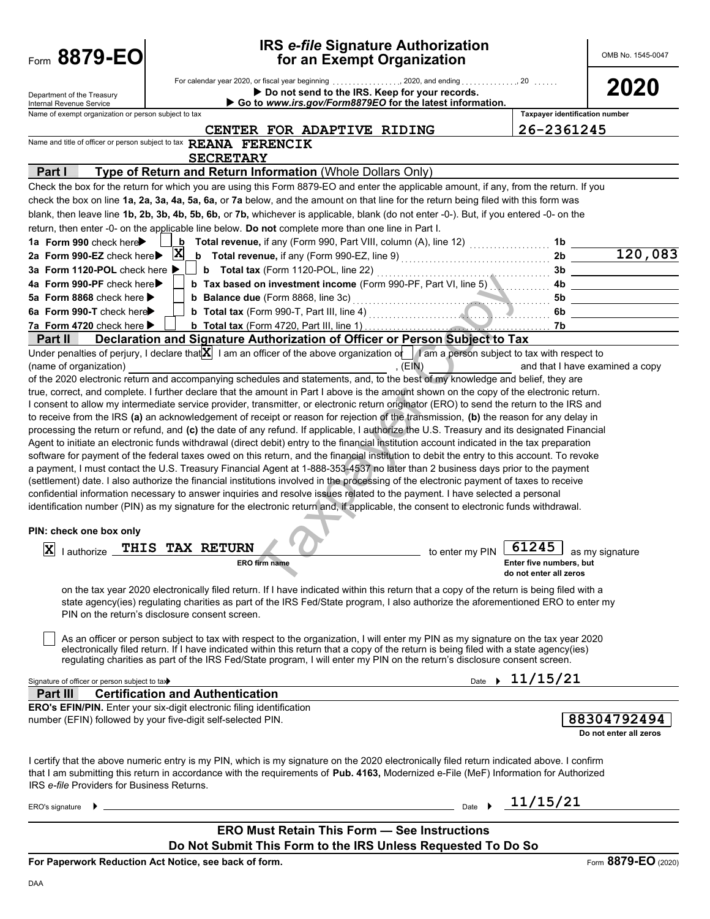| Form 8879-EO                                           |                                                                                                                                                                                                                                                                                     | <b>IRS e-file Signature Authorization</b><br>for an Exempt Organization                                    |                                | OMB No. 1545-0047                     |
|--------------------------------------------------------|-------------------------------------------------------------------------------------------------------------------------------------------------------------------------------------------------------------------------------------------------------------------------------------|------------------------------------------------------------------------------------------------------------|--------------------------------|---------------------------------------|
| Department of the Treasury<br>Internal Revenue Service |                                                                                                                                                                                                                                                                                     | Do not send to the IRS. Keep for your records.<br>Go to www.irs.gov/Form8879EO for the latest information. |                                | 2020                                  |
| Name of exempt organization or person subject to tax   |                                                                                                                                                                                                                                                                                     |                                                                                                            | Taxpayer identification number |                                       |
|                                                        | CENTER FOR ADAPTIVE RIDING                                                                                                                                                                                                                                                          |                                                                                                            | 26-2361245                     |                                       |
|                                                        | Name and title of officer or person subject to tax REANA FERENCIK<br><b>SECRETARY</b>                                                                                                                                                                                               |                                                                                                            |                                |                                       |
| Part I                                                 | Type of Return and Return Information (Whole Dollars Only)                                                                                                                                                                                                                          |                                                                                                            |                                |                                       |
|                                                        | Check the box for the return for which you are using this Form 8879-EO and enter the applicable amount, if any, from the return. If you                                                                                                                                             |                                                                                                            |                                |                                       |
|                                                        | check the box on line 1a, 2a, 3a, 4a, 5a, 6a, or 7a below, and the amount on that line for the return being filed with this form was                                                                                                                                                |                                                                                                            |                                |                                       |
|                                                        | blank, then leave line 1b, 2b, 3b, 4b, 5b, 6b, or 7b, whichever is applicable, blank (do not enter -0-). But, if you entered -0- on the                                                                                                                                             |                                                                                                            |                                |                                       |
|                                                        | return, then enter -0- on the applicable line below. Do not complete more than one line in Part I.                                                                                                                                                                                  |                                                                                                            |                                |                                       |
| 1a Form 990 check here                                 |                                                                                                                                                                                                                                                                                     | <b>b</b> Total revenue, if any (Form 990, Part VIII, column (A), line 12)                                  | 1b                             |                                       |
| 2a Form 990-EZ check here $\blacktriangleright$        | $\mathbf{X}$                                                                                                                                                                                                                                                                        | <b>_b  Total revenue,</b> if any (Form 990-EZ, line 9) <sub>.</sub> .............................          | 2b                             | 120,083                               |
| 3a Form 1120-POL check here ▶                          | <b>b</b> Total tax (Form 1120-POL, line 22)                                                                                                                                                                                                                                         |                                                                                                            | 3b                             |                                       |
| 4a Form 990-PF check here<br>5a Form 8868 check here > | b Tax based on investment income (Form 990-PF, Part VI, line 5)<br><b>b</b> Balance due (Form 8868, line 3c)                                                                                                                                                                        |                                                                                                            | 4b<br>5b                       |                                       |
| 6a Form 990-T check here                               |                                                                                                                                                                                                                                                                                     |                                                                                                            | 6b                             |                                       |
| 7a Form 4720 check here ▶                              | <b>b</b> Total tax (Form 4720, Part III, line 1)                                                                                                                                                                                                                                    |                                                                                                            | 7b                             |                                       |
| Part II                                                | Declaration and Signature Authorization of Officer or Person Subject to Tax                                                                                                                                                                                                         |                                                                                                            |                                |                                       |
|                                                        | Under penalties of perjury, I declare that $X$ I am an officer of the above organization of $\Box$ I am a person subject to tax with respect to                                                                                                                                     |                                                                                                            |                                |                                       |
| (name of organization)                                 |                                                                                                                                                                                                                                                                                     | , $(EIN)$                                                                                                  |                                | and that I have examined a copy       |
|                                                        | of the 2020 electronic return and accompanying schedules and statements, and, to the best of my knowledge and belief, they are                                                                                                                                                      |                                                                                                            |                                |                                       |
|                                                        | true, correct, and complete. I further declare that the amount in Part I above is the amount shown on the copy of the electronic return.                                                                                                                                            |                                                                                                            |                                |                                       |
|                                                        | I consent to allow my intermediate service provider, transmitter, or electronic return originator (ERO) to send the return to the IRS and<br>to receive from the IRS (a) an acknowledgement of receipt or reason for rejection of the transmission, (b) the reason for any delay in |                                                                                                            |                                |                                       |
|                                                        | processing the return or refund, and (c) the date of any refund. If applicable, I authorize the U.S. Treasury and its designated Financial                                                                                                                                          |                                                                                                            |                                |                                       |
|                                                        | Agent to initiate an electronic funds withdrawal (direct debit) entry to the financial institution account indicated in the tax preparation                                                                                                                                         |                                                                                                            |                                |                                       |
|                                                        | software for payment of the federal taxes owed on this return, and the financial institution to debit the entry to this account. To revoke                                                                                                                                          |                                                                                                            |                                |                                       |
|                                                        | a payment, I must contact the U.S. Treasury Financial Agent at 1-888-353-4537 no later than 2 business days prior to the payment                                                                                                                                                    |                                                                                                            |                                |                                       |
|                                                        | (settlement) date. I also authorize the financial institutions involved in the processing of the electronic payment of taxes to receive                                                                                                                                             |                                                                                                            |                                |                                       |
|                                                        | confidential information necessary to answer inquiries and resolve issues related to the payment. I have selected a personal<br>identification number (PIN) as my signature for the electronic return and, if applicable, the consent to electronic funds withdrawal.               |                                                                                                            |                                |                                       |
|                                                        |                                                                                                                                                                                                                                                                                     |                                                                                                            |                                |                                       |
| PIN: check one box only                                |                                                                                                                                                                                                                                                                                     |                                                                                                            |                                |                                       |
| X<br><b>THIS</b><br>I authorize                        | <b>TAX RETURN</b>                                                                                                                                                                                                                                                                   | to enter my PIN                                                                                            | 61245                          | as my signature                       |
|                                                        | ERO firm name                                                                                                                                                                                                                                                                       |                                                                                                            | Enter five numbers, but        |                                       |
|                                                        |                                                                                                                                                                                                                                                                                     |                                                                                                            | do not enter all zeros         |                                       |
|                                                        | on the tax year 2020 electronically filed return. If I have indicated within this return that a copy of the return is being filed with a                                                                                                                                            |                                                                                                            |                                |                                       |
|                                                        | state agency(ies) regulating charities as part of the IRS Fed/State program, I also authorize the aforementioned ERO to enter my                                                                                                                                                    |                                                                                                            |                                |                                       |
|                                                        | PIN on the return's disclosure consent screen.                                                                                                                                                                                                                                      |                                                                                                            |                                |                                       |
|                                                        | As an officer or person subject to tax with respect to the organization, I will enter my PIN as my signature on the tax year 2020                                                                                                                                                   |                                                                                                            |                                |                                       |
|                                                        | electronically filed return. If I have indicated within this return that a copy of the return is being filed with a state agency(ies)                                                                                                                                               |                                                                                                            |                                |                                       |
|                                                        | regulating charities as part of the IRS Fed/State program, I will enter my PIN on the return's disclosure consent screen.                                                                                                                                                           |                                                                                                            |                                |                                       |
| Signature of officer or person subject to tax          |                                                                                                                                                                                                                                                                                     |                                                                                                            | Date $\rightarrow 11/15/21$    |                                       |
| Part II                                                | <b>Certification and Authentication</b>                                                                                                                                                                                                                                             |                                                                                                            |                                |                                       |
|                                                        | <b>ERO's EFIN/PIN.</b> Enter your six-digit electronic filing identification                                                                                                                                                                                                        |                                                                                                            |                                |                                       |
|                                                        | number (EFIN) followed by your five-digit self-selected PIN.                                                                                                                                                                                                                        |                                                                                                            |                                | 88304792494<br>Do not enter all zeros |
|                                                        |                                                                                                                                                                                                                                                                                     |                                                                                                            |                                |                                       |
|                                                        | I certify that the above numeric entry is my PIN, which is my signature on the 2020 electronically filed return indicated above. I confirm                                                                                                                                          |                                                                                                            |                                |                                       |
|                                                        | that I am submitting this return in accordance with the requirements of Pub. 4163, Modernized e-File (MeF) Information for Authorized                                                                                                                                               |                                                                                                            |                                |                                       |
| IRS e-file Providers for Business Returns.             |                                                                                                                                                                                                                                                                                     |                                                                                                            |                                |                                       |
| ERO's signature                                        |                                                                                                                                                                                                                                                                                     | Date $\rightarrow$                                                                                         | 11/15/21                       |                                       |
|                                                        |                                                                                                                                                                                                                                                                                     |                                                                                                            |                                |                                       |
|                                                        |                                                                                                                                                                                                                                                                                     | <b>ERO Must Retain This Form - See Instructions</b>                                                        |                                |                                       |
|                                                        | Do Not Submit This Form to the IRS Unless Requested To Do So                                                                                                                                                                                                                        |                                                                                                            |                                |                                       |
|                                                        | For Paperwork Reduction Act Notice, see back of form.                                                                                                                                                                                                                               |                                                                                                            |                                | Form 8879-EO (2020)                   |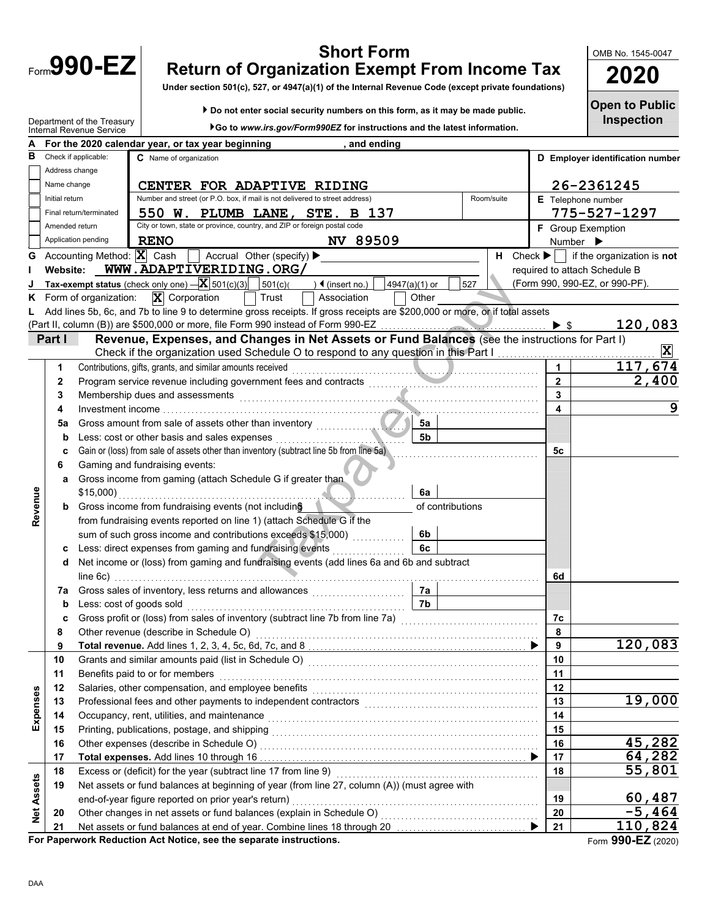| 990       |  |
|-----------|--|
| J<br>Form |  |

# **Return of Organization Exempt From Income Tax**<br>
Under section 501(c), 527, or 4947(a)(1) of the Internal Revenue Code (except private foundations) **Short Form**

**Under section 501(c), 527, or 4947(a)(1) of the Internal Revenue Code (except private foundations)**

 **Do not enter social security numbers on this form, as it may be made public.**

**Inspection Open to Public**

OMB No. 1545-0047

| Department of the Treasury<br>Go to www.irs.gov/Form990EZ for instructions and the latest information.<br>Internal Revenue Service                             |                                | <b>Inspection</b>                |  |  |  |  |  |  |  |  |
|----------------------------------------------------------------------------------------------------------------------------------------------------------------|--------------------------------|----------------------------------|--|--|--|--|--|--|--|--|
| For the 2020 calendar year, or tax year beginning<br>, and ending                                                                                              |                                |                                  |  |  |  |  |  |  |  |  |
| в<br>Check if applicable:<br>C Name of organization                                                                                                            |                                | D Employer identification number |  |  |  |  |  |  |  |  |
| Address change                                                                                                                                                 |                                |                                  |  |  |  |  |  |  |  |  |
| CENTER FOR ADAPTIVE RIDING<br>Name change                                                                                                                      |                                | 26-2361245                       |  |  |  |  |  |  |  |  |
| Number and street (or P.O. box, if mail is not delivered to street address)<br>Initial return<br>Room/suite                                                    | E Telephone number             |                                  |  |  |  |  |  |  |  |  |
| 550 W. PLUMB LANE, STE. B 137<br>Final return/terminated                                                                                                       |                                | 775-527-1297                     |  |  |  |  |  |  |  |  |
| City or town, state or province, country, and ZIP or foreign postal code<br>Amended return                                                                     | <b>F</b> Group Exemption       |                                  |  |  |  |  |  |  |  |  |
| Application pending<br><b>RENO</b><br>NV 89509                                                                                                                 | Number $\blacktriangleright$   |                                  |  |  |  |  |  |  |  |  |
| Accounting Method: $ \mathbf{X} $ Cash<br>Accrual Other (specify) $\blacktriangleright$<br>н.<br>G                                                             | Check $\blacktriangleright$    | if the organization is not       |  |  |  |  |  |  |  |  |
| WWW.ADAPTIVERIDING.ORG/<br><b>Website:</b>                                                                                                                     | required to attach Schedule B  |                                  |  |  |  |  |  |  |  |  |
| Tax-exempt status (check only one) $- X $ 501(c)(3)<br>527<br>501(c)<br>$\sqrt{4}$ (insert no.)<br>4947(a)(1) or                                               | (Form 990, 990-EZ, or 990-PF). |                                  |  |  |  |  |  |  |  |  |
| $\mathbf{X}$ Corporation<br>Trust<br>Association<br>Form of organization:<br>Other<br>Κ                                                                        |                                |                                  |  |  |  |  |  |  |  |  |
| Add lines 5b, 6c, and 7b to line 9 to determine gross receipts. If gross receipts are \$200,000 or more, or if total assets                                    |                                |                                  |  |  |  |  |  |  |  |  |
|                                                                                                                                                                |                                | 120,083                          |  |  |  |  |  |  |  |  |
| Revenue, Expenses, and Changes in Net Assets or Fund Balances (see the instructions for Part I)<br>Part I                                                      |                                |                                  |  |  |  |  |  |  |  |  |
| Check if the organization used Schedule O to respond to any question in this Part I                                                                            |                                | X                                |  |  |  |  |  |  |  |  |
| Contributions, gifts, grants, and similar amounts received<br>1                                                                                                | 1                              | 117,674                          |  |  |  |  |  |  |  |  |
| Program service revenue including government fees and contracts<br>2                                                                                           | $\mathbf{2}$                   | 2,400                            |  |  |  |  |  |  |  |  |
| Membership dues and assessments<br>3                                                                                                                           | 3                              |                                  |  |  |  |  |  |  |  |  |
| 4                                                                                                                                                              | 4                              | 9                                |  |  |  |  |  |  |  |  |
| Gross amount from sale of assets other than inventory<br>5a<br>5a                                                                                              |                                |                                  |  |  |  |  |  |  |  |  |
| 5 <sub>b</sub><br>Less: cost or other basis and sales expenses<br>b<br>Gain or (loss) from sale of assets other than inventory (subtract line 5b from line 5a) |                                |                                  |  |  |  |  |  |  |  |  |
| c<br>6                                                                                                                                                         | 5c                             |                                  |  |  |  |  |  |  |  |  |
| Gaming and fundraising events:<br>Gross income from gaming (attach Schedule G if greater than<br>а                                                             |                                |                                  |  |  |  |  |  |  |  |  |
| $$15,000$ )<br>6a                                                                                                                                              |                                |                                  |  |  |  |  |  |  |  |  |
| Gross income from fundraising events (not including<br>of contributions<br>b                                                                                   |                                |                                  |  |  |  |  |  |  |  |  |
| Revenue<br>from fundraising events reported on line 1) (attach Schedule G if the                                                                               |                                |                                  |  |  |  |  |  |  |  |  |
| sum of such gross income and contributions exceeds \$15,000)<br>6b                                                                                             |                                |                                  |  |  |  |  |  |  |  |  |
| Less: direct expenses from gaming and fundraising events<br>6c<br>с                                                                                            |                                |                                  |  |  |  |  |  |  |  |  |
| Net income or (loss) from gaming and fundraising events (add lines 6a and 6b and subtract<br>d                                                                 |                                |                                  |  |  |  |  |  |  |  |  |
|                                                                                                                                                                | 6d                             |                                  |  |  |  |  |  |  |  |  |
| Gross sales of inventory, less returns and allowances<br>7a<br>7a                                                                                              |                                |                                  |  |  |  |  |  |  |  |  |
| 7b<br>Less: cost of goods sold<br>b                                                                                                                            |                                |                                  |  |  |  |  |  |  |  |  |
| Gross profit or (loss) from sales of inventory (subtract line 7b from line 7a)<br>c                                                                            | 7c                             |                                  |  |  |  |  |  |  |  |  |
| Other revenue (describe in Schedule O)<br>8                                                                                                                    | 8                              |                                  |  |  |  |  |  |  |  |  |
| 9                                                                                                                                                              | ▶<br>9                         | 120,083                          |  |  |  |  |  |  |  |  |
| Grants and similar amounts paid (list in Schedule O) manufactured contracts and similar amounts and<br>10                                                      | 10                             |                                  |  |  |  |  |  |  |  |  |
| Benefits paid to or for members<br>11                                                                                                                          | 11                             |                                  |  |  |  |  |  |  |  |  |
| 12                                                                                                                                                             | 12                             |                                  |  |  |  |  |  |  |  |  |
| Expenses<br>Professional fees and other payments to independent contractors<br>[[[[CODID]][[CODID]]<br>13                                                      | 13                             | 19,000                           |  |  |  |  |  |  |  |  |
| 14                                                                                                                                                             | 14                             |                                  |  |  |  |  |  |  |  |  |
| 15                                                                                                                                                             | 15                             |                                  |  |  |  |  |  |  |  |  |
| 16                                                                                                                                                             | 16                             | 45,282<br>64,282                 |  |  |  |  |  |  |  |  |
| 17<br>Excess or (deficit) for the year (subtract line 17 from line 9)<br>18                                                                                    | 17<br>18                       | 55,801                           |  |  |  |  |  |  |  |  |
| Net assets or fund balances at beginning of year (from line 27, column (A)) (must agree with<br>19                                                             |                                |                                  |  |  |  |  |  |  |  |  |
| Assets<br>end-of-year figure reported on prior year's return)                                                                                                  | 19                             | 60,487                           |  |  |  |  |  |  |  |  |
| 20                                                                                                                                                             | 20                             | $-5,464$                         |  |  |  |  |  |  |  |  |
| $\frac{1}{2}$<br>21                                                                                                                                            | 21                             | 110,824                          |  |  |  |  |  |  |  |  |
| For Paperwork Reduction Act Notice, see the separate instructions.                                                                                             |                                | Form 990-EZ (2020)               |  |  |  |  |  |  |  |  |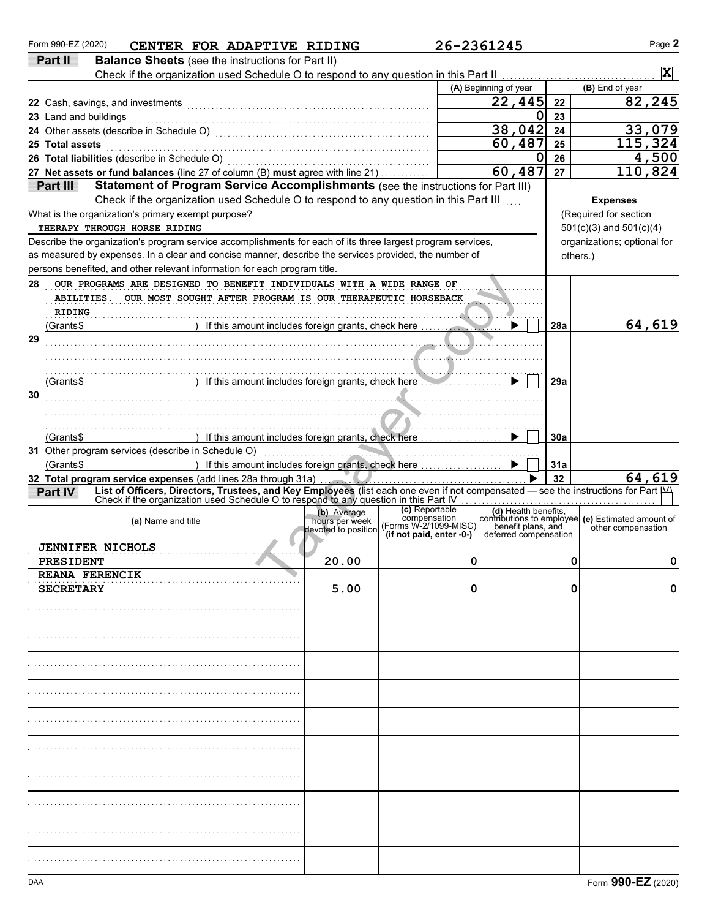|    | Form 990-EZ (2020)<br>CENTER FOR ADAPTIVE RIDING                                                                                                                                                                                       |                                       |                                                                   | 26-2361245            |                 |                                                                                                                  | Page 2         |
|----|----------------------------------------------------------------------------------------------------------------------------------------------------------------------------------------------------------------------------------------|---------------------------------------|-------------------------------------------------------------------|-----------------------|-----------------|------------------------------------------------------------------------------------------------------------------|----------------|
|    | Part II<br><b>Balance Sheets</b> (see the instructions for Part II)                                                                                                                                                                    |                                       |                                                                   |                       |                 |                                                                                                                  |                |
|    | Check if the organization used Schedule O to respond to any question in this Part II                                                                                                                                                   |                                       |                                                                   |                       |                 |                                                                                                                  | $ \mathbf{x} $ |
|    |                                                                                                                                                                                                                                        |                                       |                                                                   | (A) Beginning of year |                 | (B) End of year                                                                                                  |                |
|    |                                                                                                                                                                                                                                        |                                       |                                                                   | 22,445                | 22              |                                                                                                                  | 82,245         |
|    | 23 Land and buildings                                                                                                                                                                                                                  |                                       |                                                                   | $\mathbf{0}$          | 23              |                                                                                                                  |                |
|    |                                                                                                                                                                                                                                        |                                       |                                                                   | 38,042                | 24              |                                                                                                                  | 33,079         |
|    | 25 Total assets                                                                                                                                                                                                                        |                                       |                                                                   | 60,487                | 25              |                                                                                                                  | 115,324        |
|    |                                                                                                                                                                                                                                        |                                       |                                                                   | $\mathbf 0$           | 26              |                                                                                                                  | 4,500          |
|    | 27 Net assets or fund balances (line 27 of column (B) must agree with line 21)<br>Statement of Program Service Accomplishments (see the instructions for Part III)                                                                     |                                       |                                                                   | 60,487                | 27              |                                                                                                                  | 110,824        |
|    | Part III                                                                                                                                                                                                                               |                                       |                                                                   |                       |                 |                                                                                                                  |                |
|    | Check if the organization used Schedule O to respond to any question in this Part III<br>What is the organization's primary exempt purpose?                                                                                            |                                       |                                                                   |                       |                 | <b>Expenses</b><br>(Required for section                                                                         |                |
|    | THERAPY THROUGH HORSE RIDING                                                                                                                                                                                                           |                                       |                                                                   |                       |                 | $501(c)(3)$ and $501(c)(4)$                                                                                      |                |
|    | Describe the organization's program service accomplishments for each of its three largest program services,                                                                                                                            |                                       |                                                                   |                       |                 | organizations; optional for                                                                                      |                |
|    | as measured by expenses. In a clear and concise manner, describe the services provided, the number of                                                                                                                                  |                                       |                                                                   |                       |                 | others.)                                                                                                         |                |
|    | persons benefited, and other relevant information for each program title.                                                                                                                                                              |                                       |                                                                   |                       |                 |                                                                                                                  |                |
| 28 | OUR PROGRAMS ARE DESIGNED TO BENEFIT INDIVIDUALS WITH A WIDE RANGE OF                                                                                                                                                                  |                                       |                                                                   |                       |                 |                                                                                                                  |                |
|    | ABILITIES. OUR MOST SOUGHT AFTER PROGRAM IS OUR THERAPEUTIC HORSEBACK                                                                                                                                                                  |                                       |                                                                   |                       |                 |                                                                                                                  |                |
|    | RIDING                                                                                                                                                                                                                                 |                                       |                                                                   |                       |                 |                                                                                                                  |                |
|    | ) If this amount includes foreign grants, check here measured<br>(Grants\$                                                                                                                                                             |                                       |                                                                   |                       | 28a             |                                                                                                                  | 64,619         |
| 29 |                                                                                                                                                                                                                                        |                                       |                                                                   |                       |                 |                                                                                                                  |                |
|    | <u> 1999 - Jan James James James James James James James James James James James James James James James James J</u>                                                                                                                   |                                       |                                                                   |                       |                 |                                                                                                                  |                |
|    |                                                                                                                                                                                                                                        |                                       |                                                                   |                       |                 |                                                                                                                  |                |
|    | ) If this amount includes foreign grants, check here manufactured.<br>(Grants\$                                                                                                                                                        |                                       |                                                                   |                       | 29a             |                                                                                                                  |                |
| 30 |                                                                                                                                                                                                                                        |                                       |                                                                   |                       |                 |                                                                                                                  |                |
|    |                                                                                                                                                                                                                                        |                                       |                                                                   |                       |                 |                                                                                                                  |                |
|    |                                                                                                                                                                                                                                        |                                       |                                                                   |                       |                 |                                                                                                                  |                |
|    |                                                                                                                                                                                                                                        |                                       |                                                                   |                       |                 |                                                                                                                  |                |
|    | ) If this amount includes foreign grants, check here<br>(Grants\$                                                                                                                                                                      |                                       |                                                                   |                       | 30a             |                                                                                                                  |                |
|    | 31 Other program services (describe in Schedule O)                                                                                                                                                                                     |                                       |                                                                   |                       |                 |                                                                                                                  |                |
|    | ) If this amount includes foreign grants, check here<br>(Grants\$                                                                                                                                                                      |                                       |                                                                   |                       | 31a             |                                                                                                                  |                |
|    | 32 Total program service expenses (add lines 28a through 31a)                                                                                                                                                                          |                                       |                                                                   |                       | 32 <sub>2</sub> |                                                                                                                  | 64,619         |
|    | List of Officers, Directors, Trustees, and Key Employees (list each one even if not compensated — see the instructions for Part  V <br>Part IV<br>Check if the organization used Schedule O to respond to any question in this Part IV |                                       |                                                                   |                       |                 |                                                                                                                  |                |
|    |                                                                                                                                                                                                                                        | (b) Average                           | (c) Reportable                                                    | (d) Health benefits,  |                 |                                                                                                                  |                |
|    | (a) Name and title                                                                                                                                                                                                                     | hours per week<br>devoted to position | compensation<br>(Forms W-2/1099-MISC)<br>(if not paid, enter -0-) | deferred compensation |                 | contributions to employee (e) Estimated amount of<br>benefit plans, and other compensation<br>other compensation |                |
|    | <b>JENNIFER NICHOLS</b>                                                                                                                                                                                                                |                                       |                                                                   |                       |                 |                                                                                                                  |                |
|    | <b>PRESIDENT</b>                                                                                                                                                                                                                       | 20.00                                 |                                                                   | ◠                     | ◠               |                                                                                                                  |                |
|    | <b>REANA FERENCIK</b>                                                                                                                                                                                                                  |                                       |                                                                   |                       |                 |                                                                                                                  |                |
|    | <b>SECRETARY</b>                                                                                                                                                                                                                       | 5.00                                  |                                                                   | 0                     | 0               |                                                                                                                  |                |
|    |                                                                                                                                                                                                                                        |                                       |                                                                   |                       |                 |                                                                                                                  |                |
|    |                                                                                                                                                                                                                                        |                                       |                                                                   |                       |                 |                                                                                                                  |                |
|    |                                                                                                                                                                                                                                        |                                       |                                                                   |                       |                 |                                                                                                                  |                |
|    |                                                                                                                                                                                                                                        |                                       |                                                                   |                       |                 |                                                                                                                  |                |
|    |                                                                                                                                                                                                                                        |                                       |                                                                   |                       |                 |                                                                                                                  |                |
|    |                                                                                                                                                                                                                                        |                                       |                                                                   |                       |                 |                                                                                                                  |                |
|    |                                                                                                                                                                                                                                        |                                       |                                                                   |                       |                 |                                                                                                                  |                |
|    |                                                                                                                                                                                                                                        |                                       |                                                                   |                       |                 |                                                                                                                  |                |
|    |                                                                                                                                                                                                                                        |                                       |                                                                   |                       |                 |                                                                                                                  |                |
|    |                                                                                                                                                                                                                                        |                                       |                                                                   |                       |                 |                                                                                                                  |                |
|    |                                                                                                                                                                                                                                        |                                       |                                                                   |                       |                 |                                                                                                                  |                |
|    |                                                                                                                                                                                                                                        |                                       |                                                                   |                       |                 |                                                                                                                  |                |
|    |                                                                                                                                                                                                                                        |                                       |                                                                   |                       |                 |                                                                                                                  |                |
|    |                                                                                                                                                                                                                                        |                                       |                                                                   |                       |                 |                                                                                                                  |                |
|    |                                                                                                                                                                                                                                        |                                       |                                                                   |                       |                 |                                                                                                                  |                |
|    |                                                                                                                                                                                                                                        |                                       |                                                                   |                       |                 |                                                                                                                  |                |
|    |                                                                                                                                                                                                                                        |                                       |                                                                   |                       |                 |                                                                                                                  |                |
|    |                                                                                                                                                                                                                                        |                                       |                                                                   |                       |                 |                                                                                                                  |                |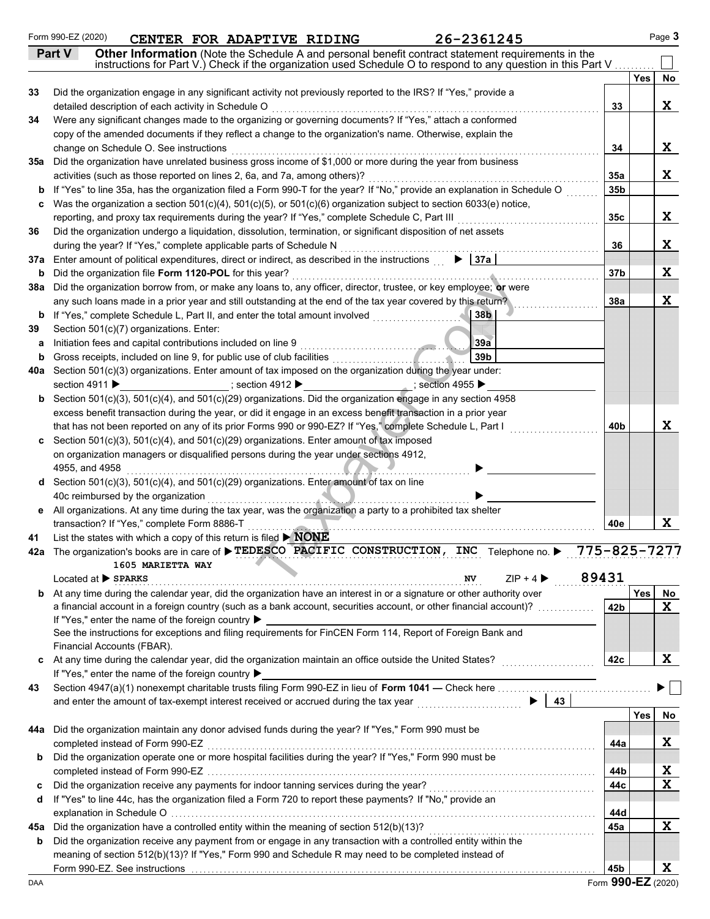| Did the organization engage in any significant activity not previously reported to the IRS? If "Yes," provide a<br>detailed description of each activity in Schedule O<br>33<br>X.<br>Were any significant changes made to the organizing or governing documents? If "Yes," attach a conformed<br>copy of the amended documents if they reflect a change to the organization's name. Otherwise, explain the<br>change on Schedule O. See instructions<br>34<br>X<br>Did the organization have unrelated business gross income of \$1,000 or more during the year from business<br>activities (such as those reported on lines 2, 6a, and 7a, among others)?<br>35a<br>X.<br>If "Yes" to line 35a, has the organization filed a Form 990-T for the year? If "No," provide an explanation in Schedule O<br>35b<br>b<br>Was the organization a section $501(c)(4)$ , $501(c)(5)$ , or $501(c)(6)$ organization subject to section $6033(e)$ notice,<br>c<br>reporting, and proxy tax requirements during the year? If "Yes," complete Schedule C, Part III<br>35c<br>X.<br>Did the organization undergo a liquidation, dissolution, termination, or significant disposition of net assets<br>during the year? If "Yes," complete applicable parts of Schedule N<br>36<br>X<br> 37a <br>▶<br>X<br>Did the organization file Form 1120-POL for this year?<br>37b<br>b<br>Did the organization borrow from, or make any loans to, any officer, director, trustee, or key employee; or were<br>X<br>any such loans made in a prior year and still outstanding at the end of the tax year covered by this return?<br>38a<br>If "Yes," complete Schedule L, Part II, and enter the total amount involved<br>38 <sub>b</sub><br>b<br>Section 501(c)(7) organizations. Enter:<br>Initiation fees and capital contributions included on line 9<br>39a<br>a<br>39 <sub>b</sub><br>Gross receipts, included on line 9, for public use of club facilities<br>b<br>Section 501(c)(3) organizations. Enter amount of tax imposed on the organization during the year under:<br>section 4911 $\blacktriangleright$<br>_; section 4912 ▶ ____________________; section 4955 ▶<br>Section 501(c)(3), 501(c)(4), and 501(c)(29) organizations. Did the organization engage in any section 4958<br>b<br>excess benefit transaction during the year, or did it engage in an excess benefit transaction in a prior year<br>that has not been reported on any of its prior Forms 990 or 990-EZ? If "Yes," complete Schedule L, Part I<br>X<br>40b<br>Section 501(c)(3), 501(c)(4), and 501(c)(29) organizations. Enter amount of tax imposed<br>c<br>on organization managers or disqualified persons during the year under sections 4912,<br>4955, and 4958<br>Section 501(c)(3), 501(c)(4), and 501(c)(29) organizations. Enter amount of tax on line<br>d<br>40c reimbursed by the organization<br>All organizations. At any time during the tax year, was the organization a party to a prohibited tax shelter<br>е<br>X<br>transaction? If "Yes," complete Form 8886-T<br>40e<br>List the states with which a copy of this return is filed $\triangleright$ <b>NONE</b><br>1605 MARIETTA WAY<br>89431<br>$ZIP + 4$<br>$Localed$ at $\triangleright$ SPARKS<br>NV<br>At any time during the calendar year, did the organization have an interest in or a signature or other authority over<br><b>Yes</b><br>No<br>a financial account in a foreign country (such as a bank account, securities account, or other financial account)?<br>X<br>42b<br>If "Yes," enter the name of the foreign country ▶<br>See the instructions for exceptions and filing requirements for FinCEN Form 114, Report of Foreign Bank and<br>Financial Accounts (FBAR).<br>X<br>At any time during the calendar year, did the organization maintain an office outside the United States?<br>42c<br>c<br>If "Yes," enter the name of the foreign country ▶<br>and enter the amount of tax-exempt interest received or accrued during the tax year [1111111111111111111111111<br>43<br><b>Yes</b><br>No<br>Did the organization maintain any donor advised funds during the year? If "Yes," Form 990 must be<br>X<br>completed instead of Form 990-EZ<br>44a<br>Did the organization operate one or more hospital facilities during the year? If "Yes," Form 990 must be<br>b<br>X<br>44b<br>$\mathbf x$<br>44с<br>c<br>If "Yes" to line 44c, has the organization filed a Form 720 to report these payments? If "No," provide an<br>d<br>44d<br>X<br>Did the organization have a controlled entity within the meaning of section 512(b)(13)?<br>45a | 33<br>34<br>35а<br>36<br>37a Enter amount of political expenditures, direct or indirect, as described in the instructions<br>38a<br>39<br>40a<br>41<br>42a<br>43<br>44a<br>45a<br>Did the organization receive any payment from or engage in any transaction with a controlled entity within the<br>b<br>meaning of section 512(b)(13)? If "Yes," Form 990 and Schedule R may need to be completed instead of | instructions for Part V.) Check if the organization used Schedule O to respond to any question in this Part V.                                                                                                                 |     |     |    |
|----------------------------------------------------------------------------------------------------------------------------------------------------------------------------------------------------------------------------------------------------------------------------------------------------------------------------------------------------------------------------------------------------------------------------------------------------------------------------------------------------------------------------------------------------------------------------------------------------------------------------------------------------------------------------------------------------------------------------------------------------------------------------------------------------------------------------------------------------------------------------------------------------------------------------------------------------------------------------------------------------------------------------------------------------------------------------------------------------------------------------------------------------------------------------------------------------------------------------------------------------------------------------------------------------------------------------------------------------------------------------------------------------------------------------------------------------------------------------------------------------------------------------------------------------------------------------------------------------------------------------------------------------------------------------------------------------------------------------------------------------------------------------------------------------------------------------------------------------------------------------------------------------------------------------------------------------------------------------------------------------------------------------------------------------------------------------------------------------------------------------------------------------------------------------------------------------------------------------------------------------------------------------------------------------------------------------------------------------------------------------------------------------------------------------------------------------------------------------------------------------------------------------------------------------------------------------------------------------------------------------------------------------------------------------------------------------------------------------------------------------------------------------------------------------------------------------------------------------------------------------------------------------------------------------------------------------------------------------------------------------------------------------------------------------------------------------------------------------------------------------------------------------------------------------------------------------------------------------------------------------------------------------------------------------------------------------------------------------------------------------------------------------------------------------------------------------------------------------------------------------------------------------------------------------------------------------------------------------------------------------------------------------------------------------------------------------------------------------------------------------------------------------------------------------------------------------------------------------------------------------------------------------------------------------------------------------------------------------------------------------------------------------------------------------------------------------------------------------------------------------------------------------------------------------------------------------------------------------------------------------------------------------------------------------------------------------------------------------------------------------------------------------------------------------------------------------------------------------------------------------------------------------------------------------------------------------------------------------------|---------------------------------------------------------------------------------------------------------------------------------------------------------------------------------------------------------------------------------------------------------------------------------------------------------------------------------------------------------------------------------------------------------------|--------------------------------------------------------------------------------------------------------------------------------------------------------------------------------------------------------------------------------|-----|-----|----|
|                                                                                                                                                                                                                                                                                                                                                                                                                                                                                                                                                                                                                                                                                                                                                                                                                                                                                                                                                                                                                                                                                                                                                                                                                                                                                                                                                                                                                                                                                                                                                                                                                                                                                                                                                                                                                                                                                                                                                                                                                                                                                                                                                                                                                                                                                                                                                                                                                                                                                                                                                                                                                                                                                                                                                                                                                                                                                                                                                                                                                                                                                                                                                                                                                                                                                                                                                                                                                                                                                                                                                                                                                                                                                                                                                                                                                                                                                                                                                                                                                                                                                                                                                                                                                                                                                                                                                                                                                                                                                                                                                                                                          |                                                                                                                                                                                                                                                                                                                                                                                                               |                                                                                                                                                                                                                                |     | Yes | No |
|                                                                                                                                                                                                                                                                                                                                                                                                                                                                                                                                                                                                                                                                                                                                                                                                                                                                                                                                                                                                                                                                                                                                                                                                                                                                                                                                                                                                                                                                                                                                                                                                                                                                                                                                                                                                                                                                                                                                                                                                                                                                                                                                                                                                                                                                                                                                                                                                                                                                                                                                                                                                                                                                                                                                                                                                                                                                                                                                                                                                                                                                                                                                                                                                                                                                                                                                                                                                                                                                                                                                                                                                                                                                                                                                                                                                                                                                                                                                                                                                                                                                                                                                                                                                                                                                                                                                                                                                                                                                                                                                                                                                          |                                                                                                                                                                                                                                                                                                                                                                                                               |                                                                                                                                                                                                                                |     |     |    |
| The organization's books are in care of ▶ TEDESCO PACIFIC CONSTRUCTION, INC Telephone no. ▶ 775-825-7277                                                                                                                                                                                                                                                                                                                                                                                                                                                                                                                                                                                                                                                                                                                                                                                                                                                                                                                                                                                                                                                                                                                                                                                                                                                                                                                                                                                                                                                                                                                                                                                                                                                                                                                                                                                                                                                                                                                                                                                                                                                                                                                                                                                                                                                                                                                                                                                                                                                                                                                                                                                                                                                                                                                                                                                                                                                                                                                                                                                                                                                                                                                                                                                                                                                                                                                                                                                                                                                                                                                                                                                                                                                                                                                                                                                                                                                                                                                                                                                                                                                                                                                                                                                                                                                                                                                                                                                                                                                                                                 |                                                                                                                                                                                                                                                                                                                                                                                                               |                                                                                                                                                                                                                                |     |     |    |
|                                                                                                                                                                                                                                                                                                                                                                                                                                                                                                                                                                                                                                                                                                                                                                                                                                                                                                                                                                                                                                                                                                                                                                                                                                                                                                                                                                                                                                                                                                                                                                                                                                                                                                                                                                                                                                                                                                                                                                                                                                                                                                                                                                                                                                                                                                                                                                                                                                                                                                                                                                                                                                                                                                                                                                                                                                                                                                                                                                                                                                                                                                                                                                                                                                                                                                                                                                                                                                                                                                                                                                                                                                                                                                                                                                                                                                                                                                                                                                                                                                                                                                                                                                                                                                                                                                                                                                                                                                                                                                                                                                                                          |                                                                                                                                                                                                                                                                                                                                                                                                               |                                                                                                                                                                                                                                |     |     |    |
|                                                                                                                                                                                                                                                                                                                                                                                                                                                                                                                                                                                                                                                                                                                                                                                                                                                                                                                                                                                                                                                                                                                                                                                                                                                                                                                                                                                                                                                                                                                                                                                                                                                                                                                                                                                                                                                                                                                                                                                                                                                                                                                                                                                                                                                                                                                                                                                                                                                                                                                                                                                                                                                                                                                                                                                                                                                                                                                                                                                                                                                                                                                                                                                                                                                                                                                                                                                                                                                                                                                                                                                                                                                                                                                                                                                                                                                                                                                                                                                                                                                                                                                                                                                                                                                                                                                                                                                                                                                                                                                                                                                                          |                                                                                                                                                                                                                                                                                                                                                                                                               |                                                                                                                                                                                                                                |     |     |    |
|                                                                                                                                                                                                                                                                                                                                                                                                                                                                                                                                                                                                                                                                                                                                                                                                                                                                                                                                                                                                                                                                                                                                                                                                                                                                                                                                                                                                                                                                                                                                                                                                                                                                                                                                                                                                                                                                                                                                                                                                                                                                                                                                                                                                                                                                                                                                                                                                                                                                                                                                                                                                                                                                                                                                                                                                                                                                                                                                                                                                                                                                                                                                                                                                                                                                                                                                                                                                                                                                                                                                                                                                                                                                                                                                                                                                                                                                                                                                                                                                                                                                                                                                                                                                                                                                                                                                                                                                                                                                                                                                                                                                          |                                                                                                                                                                                                                                                                                                                                                                                                               |                                                                                                                                                                                                                                |     |     |    |
|                                                                                                                                                                                                                                                                                                                                                                                                                                                                                                                                                                                                                                                                                                                                                                                                                                                                                                                                                                                                                                                                                                                                                                                                                                                                                                                                                                                                                                                                                                                                                                                                                                                                                                                                                                                                                                                                                                                                                                                                                                                                                                                                                                                                                                                                                                                                                                                                                                                                                                                                                                                                                                                                                                                                                                                                                                                                                                                                                                                                                                                                                                                                                                                                                                                                                                                                                                                                                                                                                                                                                                                                                                                                                                                                                                                                                                                                                                                                                                                                                                                                                                                                                                                                                                                                                                                                                                                                                                                                                                                                                                                                          |                                                                                                                                                                                                                                                                                                                                                                                                               |                                                                                                                                                                                                                                |     |     |    |
|                                                                                                                                                                                                                                                                                                                                                                                                                                                                                                                                                                                                                                                                                                                                                                                                                                                                                                                                                                                                                                                                                                                                                                                                                                                                                                                                                                                                                                                                                                                                                                                                                                                                                                                                                                                                                                                                                                                                                                                                                                                                                                                                                                                                                                                                                                                                                                                                                                                                                                                                                                                                                                                                                                                                                                                                                                                                                                                                                                                                                                                                                                                                                                                                                                                                                                                                                                                                                                                                                                                                                                                                                                                                                                                                                                                                                                                                                                                                                                                                                                                                                                                                                                                                                                                                                                                                                                                                                                                                                                                                                                                                          |                                                                                                                                                                                                                                                                                                                                                                                                               |                                                                                                                                                                                                                                |     |     |    |
|                                                                                                                                                                                                                                                                                                                                                                                                                                                                                                                                                                                                                                                                                                                                                                                                                                                                                                                                                                                                                                                                                                                                                                                                                                                                                                                                                                                                                                                                                                                                                                                                                                                                                                                                                                                                                                                                                                                                                                                                                                                                                                                                                                                                                                                                                                                                                                                                                                                                                                                                                                                                                                                                                                                                                                                                                                                                                                                                                                                                                                                                                                                                                                                                                                                                                                                                                                                                                                                                                                                                                                                                                                                                                                                                                                                                                                                                                                                                                                                                                                                                                                                                                                                                                                                                                                                                                                                                                                                                                                                                                                                                          |                                                                                                                                                                                                                                                                                                                                                                                                               |                                                                                                                                                                                                                                |     |     |    |
|                                                                                                                                                                                                                                                                                                                                                                                                                                                                                                                                                                                                                                                                                                                                                                                                                                                                                                                                                                                                                                                                                                                                                                                                                                                                                                                                                                                                                                                                                                                                                                                                                                                                                                                                                                                                                                                                                                                                                                                                                                                                                                                                                                                                                                                                                                                                                                                                                                                                                                                                                                                                                                                                                                                                                                                                                                                                                                                                                                                                                                                                                                                                                                                                                                                                                                                                                                                                                                                                                                                                                                                                                                                                                                                                                                                                                                                                                                                                                                                                                                                                                                                                                                                                                                                                                                                                                                                                                                                                                                                                                                                                          |                                                                                                                                                                                                                                                                                                                                                                                                               |                                                                                                                                                                                                                                |     |     |    |
|                                                                                                                                                                                                                                                                                                                                                                                                                                                                                                                                                                                                                                                                                                                                                                                                                                                                                                                                                                                                                                                                                                                                                                                                                                                                                                                                                                                                                                                                                                                                                                                                                                                                                                                                                                                                                                                                                                                                                                                                                                                                                                                                                                                                                                                                                                                                                                                                                                                                                                                                                                                                                                                                                                                                                                                                                                                                                                                                                                                                                                                                                                                                                                                                                                                                                                                                                                                                                                                                                                                                                                                                                                                                                                                                                                                                                                                                                                                                                                                                                                                                                                                                                                                                                                                                                                                                                                                                                                                                                                                                                                                                          |                                                                                                                                                                                                                                                                                                                                                                                                               |                                                                                                                                                                                                                                |     |     |    |
|                                                                                                                                                                                                                                                                                                                                                                                                                                                                                                                                                                                                                                                                                                                                                                                                                                                                                                                                                                                                                                                                                                                                                                                                                                                                                                                                                                                                                                                                                                                                                                                                                                                                                                                                                                                                                                                                                                                                                                                                                                                                                                                                                                                                                                                                                                                                                                                                                                                                                                                                                                                                                                                                                                                                                                                                                                                                                                                                                                                                                                                                                                                                                                                                                                                                                                                                                                                                                                                                                                                                                                                                                                                                                                                                                                                                                                                                                                                                                                                                                                                                                                                                                                                                                                                                                                                                                                                                                                                                                                                                                                                                          |                                                                                                                                                                                                                                                                                                                                                                                                               |                                                                                                                                                                                                                                |     |     |    |
|                                                                                                                                                                                                                                                                                                                                                                                                                                                                                                                                                                                                                                                                                                                                                                                                                                                                                                                                                                                                                                                                                                                                                                                                                                                                                                                                                                                                                                                                                                                                                                                                                                                                                                                                                                                                                                                                                                                                                                                                                                                                                                                                                                                                                                                                                                                                                                                                                                                                                                                                                                                                                                                                                                                                                                                                                                                                                                                                                                                                                                                                                                                                                                                                                                                                                                                                                                                                                                                                                                                                                                                                                                                                                                                                                                                                                                                                                                                                                                                                                                                                                                                                                                                                                                                                                                                                                                                                                                                                                                                                                                                                          |                                                                                                                                                                                                                                                                                                                                                                                                               |                                                                                                                                                                                                                                |     |     |    |
|                                                                                                                                                                                                                                                                                                                                                                                                                                                                                                                                                                                                                                                                                                                                                                                                                                                                                                                                                                                                                                                                                                                                                                                                                                                                                                                                                                                                                                                                                                                                                                                                                                                                                                                                                                                                                                                                                                                                                                                                                                                                                                                                                                                                                                                                                                                                                                                                                                                                                                                                                                                                                                                                                                                                                                                                                                                                                                                                                                                                                                                                                                                                                                                                                                                                                                                                                                                                                                                                                                                                                                                                                                                                                                                                                                                                                                                                                                                                                                                                                                                                                                                                                                                                                                                                                                                                                                                                                                                                                                                                                                                                          |                                                                                                                                                                                                                                                                                                                                                                                                               |                                                                                                                                                                                                                                |     |     |    |
|                                                                                                                                                                                                                                                                                                                                                                                                                                                                                                                                                                                                                                                                                                                                                                                                                                                                                                                                                                                                                                                                                                                                                                                                                                                                                                                                                                                                                                                                                                                                                                                                                                                                                                                                                                                                                                                                                                                                                                                                                                                                                                                                                                                                                                                                                                                                                                                                                                                                                                                                                                                                                                                                                                                                                                                                                                                                                                                                                                                                                                                                                                                                                                                                                                                                                                                                                                                                                                                                                                                                                                                                                                                                                                                                                                                                                                                                                                                                                                                                                                                                                                                                                                                                                                                                                                                                                                                                                                                                                                                                                                                                          |                                                                                                                                                                                                                                                                                                                                                                                                               |                                                                                                                                                                                                                                |     |     |    |
|                                                                                                                                                                                                                                                                                                                                                                                                                                                                                                                                                                                                                                                                                                                                                                                                                                                                                                                                                                                                                                                                                                                                                                                                                                                                                                                                                                                                                                                                                                                                                                                                                                                                                                                                                                                                                                                                                                                                                                                                                                                                                                                                                                                                                                                                                                                                                                                                                                                                                                                                                                                                                                                                                                                                                                                                                                                                                                                                                                                                                                                                                                                                                                                                                                                                                                                                                                                                                                                                                                                                                                                                                                                                                                                                                                                                                                                                                                                                                                                                                                                                                                                                                                                                                                                                                                                                                                                                                                                                                                                                                                                                          |                                                                                                                                                                                                                                                                                                                                                                                                               |                                                                                                                                                                                                                                |     |     |    |
|                                                                                                                                                                                                                                                                                                                                                                                                                                                                                                                                                                                                                                                                                                                                                                                                                                                                                                                                                                                                                                                                                                                                                                                                                                                                                                                                                                                                                                                                                                                                                                                                                                                                                                                                                                                                                                                                                                                                                                                                                                                                                                                                                                                                                                                                                                                                                                                                                                                                                                                                                                                                                                                                                                                                                                                                                                                                                                                                                                                                                                                                                                                                                                                                                                                                                                                                                                                                                                                                                                                                                                                                                                                                                                                                                                                                                                                                                                                                                                                                                                                                                                                                                                                                                                                                                                                                                                                                                                                                                                                                                                                                          |                                                                                                                                                                                                                                                                                                                                                                                                               |                                                                                                                                                                                                                                |     |     |    |
|                                                                                                                                                                                                                                                                                                                                                                                                                                                                                                                                                                                                                                                                                                                                                                                                                                                                                                                                                                                                                                                                                                                                                                                                                                                                                                                                                                                                                                                                                                                                                                                                                                                                                                                                                                                                                                                                                                                                                                                                                                                                                                                                                                                                                                                                                                                                                                                                                                                                                                                                                                                                                                                                                                                                                                                                                                                                                                                                                                                                                                                                                                                                                                                                                                                                                                                                                                                                                                                                                                                                                                                                                                                                                                                                                                                                                                                                                                                                                                                                                                                                                                                                                                                                                                                                                                                                                                                                                                                                                                                                                                                                          |                                                                                                                                                                                                                                                                                                                                                                                                               |                                                                                                                                                                                                                                |     |     |    |
|                                                                                                                                                                                                                                                                                                                                                                                                                                                                                                                                                                                                                                                                                                                                                                                                                                                                                                                                                                                                                                                                                                                                                                                                                                                                                                                                                                                                                                                                                                                                                                                                                                                                                                                                                                                                                                                                                                                                                                                                                                                                                                                                                                                                                                                                                                                                                                                                                                                                                                                                                                                                                                                                                                                                                                                                                                                                                                                                                                                                                                                                                                                                                                                                                                                                                                                                                                                                                                                                                                                                                                                                                                                                                                                                                                                                                                                                                                                                                                                                                                                                                                                                                                                                                                                                                                                                                                                                                                                                                                                                                                                                          |                                                                                                                                                                                                                                                                                                                                                                                                               |                                                                                                                                                                                                                                |     |     |    |
|                                                                                                                                                                                                                                                                                                                                                                                                                                                                                                                                                                                                                                                                                                                                                                                                                                                                                                                                                                                                                                                                                                                                                                                                                                                                                                                                                                                                                                                                                                                                                                                                                                                                                                                                                                                                                                                                                                                                                                                                                                                                                                                                                                                                                                                                                                                                                                                                                                                                                                                                                                                                                                                                                                                                                                                                                                                                                                                                                                                                                                                                                                                                                                                                                                                                                                                                                                                                                                                                                                                                                                                                                                                                                                                                                                                                                                                                                                                                                                                                                                                                                                                                                                                                                                                                                                                                                                                                                                                                                                                                                                                                          |                                                                                                                                                                                                                                                                                                                                                                                                               |                                                                                                                                                                                                                                |     |     |    |
|                                                                                                                                                                                                                                                                                                                                                                                                                                                                                                                                                                                                                                                                                                                                                                                                                                                                                                                                                                                                                                                                                                                                                                                                                                                                                                                                                                                                                                                                                                                                                                                                                                                                                                                                                                                                                                                                                                                                                                                                                                                                                                                                                                                                                                                                                                                                                                                                                                                                                                                                                                                                                                                                                                                                                                                                                                                                                                                                                                                                                                                                                                                                                                                                                                                                                                                                                                                                                                                                                                                                                                                                                                                                                                                                                                                                                                                                                                                                                                                                                                                                                                                                                                                                                                                                                                                                                                                                                                                                                                                                                                                                          |                                                                                                                                                                                                                                                                                                                                                                                                               |                                                                                                                                                                                                                                |     |     |    |
|                                                                                                                                                                                                                                                                                                                                                                                                                                                                                                                                                                                                                                                                                                                                                                                                                                                                                                                                                                                                                                                                                                                                                                                                                                                                                                                                                                                                                                                                                                                                                                                                                                                                                                                                                                                                                                                                                                                                                                                                                                                                                                                                                                                                                                                                                                                                                                                                                                                                                                                                                                                                                                                                                                                                                                                                                                                                                                                                                                                                                                                                                                                                                                                                                                                                                                                                                                                                                                                                                                                                                                                                                                                                                                                                                                                                                                                                                                                                                                                                                                                                                                                                                                                                                                                                                                                                                                                                                                                                                                                                                                                                          |                                                                                                                                                                                                                                                                                                                                                                                                               |                                                                                                                                                                                                                                |     |     |    |
|                                                                                                                                                                                                                                                                                                                                                                                                                                                                                                                                                                                                                                                                                                                                                                                                                                                                                                                                                                                                                                                                                                                                                                                                                                                                                                                                                                                                                                                                                                                                                                                                                                                                                                                                                                                                                                                                                                                                                                                                                                                                                                                                                                                                                                                                                                                                                                                                                                                                                                                                                                                                                                                                                                                                                                                                                                                                                                                                                                                                                                                                                                                                                                                                                                                                                                                                                                                                                                                                                                                                                                                                                                                                                                                                                                                                                                                                                                                                                                                                                                                                                                                                                                                                                                                                                                                                                                                                                                                                                                                                                                                                          |                                                                                                                                                                                                                                                                                                                                                                                                               |                                                                                                                                                                                                                                |     |     |    |
|                                                                                                                                                                                                                                                                                                                                                                                                                                                                                                                                                                                                                                                                                                                                                                                                                                                                                                                                                                                                                                                                                                                                                                                                                                                                                                                                                                                                                                                                                                                                                                                                                                                                                                                                                                                                                                                                                                                                                                                                                                                                                                                                                                                                                                                                                                                                                                                                                                                                                                                                                                                                                                                                                                                                                                                                                                                                                                                                                                                                                                                                                                                                                                                                                                                                                                                                                                                                                                                                                                                                                                                                                                                                                                                                                                                                                                                                                                                                                                                                                                                                                                                                                                                                                                                                                                                                                                                                                                                                                                                                                                                                          |                                                                                                                                                                                                                                                                                                                                                                                                               |                                                                                                                                                                                                                                |     |     |    |
|                                                                                                                                                                                                                                                                                                                                                                                                                                                                                                                                                                                                                                                                                                                                                                                                                                                                                                                                                                                                                                                                                                                                                                                                                                                                                                                                                                                                                                                                                                                                                                                                                                                                                                                                                                                                                                                                                                                                                                                                                                                                                                                                                                                                                                                                                                                                                                                                                                                                                                                                                                                                                                                                                                                                                                                                                                                                                                                                                                                                                                                                                                                                                                                                                                                                                                                                                                                                                                                                                                                                                                                                                                                                                                                                                                                                                                                                                                                                                                                                                                                                                                                                                                                                                                                                                                                                                                                                                                                                                                                                                                                                          |                                                                                                                                                                                                                                                                                                                                                                                                               |                                                                                                                                                                                                                                |     |     |    |
|                                                                                                                                                                                                                                                                                                                                                                                                                                                                                                                                                                                                                                                                                                                                                                                                                                                                                                                                                                                                                                                                                                                                                                                                                                                                                                                                                                                                                                                                                                                                                                                                                                                                                                                                                                                                                                                                                                                                                                                                                                                                                                                                                                                                                                                                                                                                                                                                                                                                                                                                                                                                                                                                                                                                                                                                                                                                                                                                                                                                                                                                                                                                                                                                                                                                                                                                                                                                                                                                                                                                                                                                                                                                                                                                                                                                                                                                                                                                                                                                                                                                                                                                                                                                                                                                                                                                                                                                                                                                                                                                                                                                          |                                                                                                                                                                                                                                                                                                                                                                                                               |                                                                                                                                                                                                                                |     |     |    |
|                                                                                                                                                                                                                                                                                                                                                                                                                                                                                                                                                                                                                                                                                                                                                                                                                                                                                                                                                                                                                                                                                                                                                                                                                                                                                                                                                                                                                                                                                                                                                                                                                                                                                                                                                                                                                                                                                                                                                                                                                                                                                                                                                                                                                                                                                                                                                                                                                                                                                                                                                                                                                                                                                                                                                                                                                                                                                                                                                                                                                                                                                                                                                                                                                                                                                                                                                                                                                                                                                                                                                                                                                                                                                                                                                                                                                                                                                                                                                                                                                                                                                                                                                                                                                                                                                                                                                                                                                                                                                                                                                                                                          |                                                                                                                                                                                                                                                                                                                                                                                                               |                                                                                                                                                                                                                                |     |     |    |
|                                                                                                                                                                                                                                                                                                                                                                                                                                                                                                                                                                                                                                                                                                                                                                                                                                                                                                                                                                                                                                                                                                                                                                                                                                                                                                                                                                                                                                                                                                                                                                                                                                                                                                                                                                                                                                                                                                                                                                                                                                                                                                                                                                                                                                                                                                                                                                                                                                                                                                                                                                                                                                                                                                                                                                                                                                                                                                                                                                                                                                                                                                                                                                                                                                                                                                                                                                                                                                                                                                                                                                                                                                                                                                                                                                                                                                                                                                                                                                                                                                                                                                                                                                                                                                                                                                                                                                                                                                                                                                                                                                                                          |                                                                                                                                                                                                                                                                                                                                                                                                               |                                                                                                                                                                                                                                |     |     |    |
|                                                                                                                                                                                                                                                                                                                                                                                                                                                                                                                                                                                                                                                                                                                                                                                                                                                                                                                                                                                                                                                                                                                                                                                                                                                                                                                                                                                                                                                                                                                                                                                                                                                                                                                                                                                                                                                                                                                                                                                                                                                                                                                                                                                                                                                                                                                                                                                                                                                                                                                                                                                                                                                                                                                                                                                                                                                                                                                                                                                                                                                                                                                                                                                                                                                                                                                                                                                                                                                                                                                                                                                                                                                                                                                                                                                                                                                                                                                                                                                                                                                                                                                                                                                                                                                                                                                                                                                                                                                                                                                                                                                                          |                                                                                                                                                                                                                                                                                                                                                                                                               |                                                                                                                                                                                                                                |     |     |    |
|                                                                                                                                                                                                                                                                                                                                                                                                                                                                                                                                                                                                                                                                                                                                                                                                                                                                                                                                                                                                                                                                                                                                                                                                                                                                                                                                                                                                                                                                                                                                                                                                                                                                                                                                                                                                                                                                                                                                                                                                                                                                                                                                                                                                                                                                                                                                                                                                                                                                                                                                                                                                                                                                                                                                                                                                                                                                                                                                                                                                                                                                                                                                                                                                                                                                                                                                                                                                                                                                                                                                                                                                                                                                                                                                                                                                                                                                                                                                                                                                                                                                                                                                                                                                                                                                                                                                                                                                                                                                                                                                                                                                          |                                                                                                                                                                                                                                                                                                                                                                                                               |                                                                                                                                                                                                                                |     |     |    |
|                                                                                                                                                                                                                                                                                                                                                                                                                                                                                                                                                                                                                                                                                                                                                                                                                                                                                                                                                                                                                                                                                                                                                                                                                                                                                                                                                                                                                                                                                                                                                                                                                                                                                                                                                                                                                                                                                                                                                                                                                                                                                                                                                                                                                                                                                                                                                                                                                                                                                                                                                                                                                                                                                                                                                                                                                                                                                                                                                                                                                                                                                                                                                                                                                                                                                                                                                                                                                                                                                                                                                                                                                                                                                                                                                                                                                                                                                                                                                                                                                                                                                                                                                                                                                                                                                                                                                                                                                                                                                                                                                                                                          |                                                                                                                                                                                                                                                                                                                                                                                                               |                                                                                                                                                                                                                                |     |     |    |
|                                                                                                                                                                                                                                                                                                                                                                                                                                                                                                                                                                                                                                                                                                                                                                                                                                                                                                                                                                                                                                                                                                                                                                                                                                                                                                                                                                                                                                                                                                                                                                                                                                                                                                                                                                                                                                                                                                                                                                                                                                                                                                                                                                                                                                                                                                                                                                                                                                                                                                                                                                                                                                                                                                                                                                                                                                                                                                                                                                                                                                                                                                                                                                                                                                                                                                                                                                                                                                                                                                                                                                                                                                                                                                                                                                                                                                                                                                                                                                                                                                                                                                                                                                                                                                                                                                                                                                                                                                                                                                                                                                                                          |                                                                                                                                                                                                                                                                                                                                                                                                               |                                                                                                                                                                                                                                |     |     |    |
|                                                                                                                                                                                                                                                                                                                                                                                                                                                                                                                                                                                                                                                                                                                                                                                                                                                                                                                                                                                                                                                                                                                                                                                                                                                                                                                                                                                                                                                                                                                                                                                                                                                                                                                                                                                                                                                                                                                                                                                                                                                                                                                                                                                                                                                                                                                                                                                                                                                                                                                                                                                                                                                                                                                                                                                                                                                                                                                                                                                                                                                                                                                                                                                                                                                                                                                                                                                                                                                                                                                                                                                                                                                                                                                                                                                                                                                                                                                                                                                                                                                                                                                                                                                                                                                                                                                                                                                                                                                                                                                                                                                                          |                                                                                                                                                                                                                                                                                                                                                                                                               |                                                                                                                                                                                                                                |     |     |    |
|                                                                                                                                                                                                                                                                                                                                                                                                                                                                                                                                                                                                                                                                                                                                                                                                                                                                                                                                                                                                                                                                                                                                                                                                                                                                                                                                                                                                                                                                                                                                                                                                                                                                                                                                                                                                                                                                                                                                                                                                                                                                                                                                                                                                                                                                                                                                                                                                                                                                                                                                                                                                                                                                                                                                                                                                                                                                                                                                                                                                                                                                                                                                                                                                                                                                                                                                                                                                                                                                                                                                                                                                                                                                                                                                                                                                                                                                                                                                                                                                                                                                                                                                                                                                                                                                                                                                                                                                                                                                                                                                                                                                          |                                                                                                                                                                                                                                                                                                                                                                                                               |                                                                                                                                                                                                                                |     |     |    |
|                                                                                                                                                                                                                                                                                                                                                                                                                                                                                                                                                                                                                                                                                                                                                                                                                                                                                                                                                                                                                                                                                                                                                                                                                                                                                                                                                                                                                                                                                                                                                                                                                                                                                                                                                                                                                                                                                                                                                                                                                                                                                                                                                                                                                                                                                                                                                                                                                                                                                                                                                                                                                                                                                                                                                                                                                                                                                                                                                                                                                                                                                                                                                                                                                                                                                                                                                                                                                                                                                                                                                                                                                                                                                                                                                                                                                                                                                                                                                                                                                                                                                                                                                                                                                                                                                                                                                                                                                                                                                                                                                                                                          |                                                                                                                                                                                                                                                                                                                                                                                                               |                                                                                                                                                                                                                                |     |     |    |
|                                                                                                                                                                                                                                                                                                                                                                                                                                                                                                                                                                                                                                                                                                                                                                                                                                                                                                                                                                                                                                                                                                                                                                                                                                                                                                                                                                                                                                                                                                                                                                                                                                                                                                                                                                                                                                                                                                                                                                                                                                                                                                                                                                                                                                                                                                                                                                                                                                                                                                                                                                                                                                                                                                                                                                                                                                                                                                                                                                                                                                                                                                                                                                                                                                                                                                                                                                                                                                                                                                                                                                                                                                                                                                                                                                                                                                                                                                                                                                                                                                                                                                                                                                                                                                                                                                                                                                                                                                                                                                                                                                                                          |                                                                                                                                                                                                                                                                                                                                                                                                               |                                                                                                                                                                                                                                |     |     |    |
|                                                                                                                                                                                                                                                                                                                                                                                                                                                                                                                                                                                                                                                                                                                                                                                                                                                                                                                                                                                                                                                                                                                                                                                                                                                                                                                                                                                                                                                                                                                                                                                                                                                                                                                                                                                                                                                                                                                                                                                                                                                                                                                                                                                                                                                                                                                                                                                                                                                                                                                                                                                                                                                                                                                                                                                                                                                                                                                                                                                                                                                                                                                                                                                                                                                                                                                                                                                                                                                                                                                                                                                                                                                                                                                                                                                                                                                                                                                                                                                                                                                                                                                                                                                                                                                                                                                                                                                                                                                                                                                                                                                                          |                                                                                                                                                                                                                                                                                                                                                                                                               |                                                                                                                                                                                                                                |     |     |    |
|                                                                                                                                                                                                                                                                                                                                                                                                                                                                                                                                                                                                                                                                                                                                                                                                                                                                                                                                                                                                                                                                                                                                                                                                                                                                                                                                                                                                                                                                                                                                                                                                                                                                                                                                                                                                                                                                                                                                                                                                                                                                                                                                                                                                                                                                                                                                                                                                                                                                                                                                                                                                                                                                                                                                                                                                                                                                                                                                                                                                                                                                                                                                                                                                                                                                                                                                                                                                                                                                                                                                                                                                                                                                                                                                                                                                                                                                                                                                                                                                                                                                                                                                                                                                                                                                                                                                                                                                                                                                                                                                                                                                          |                                                                                                                                                                                                                                                                                                                                                                                                               |                                                                                                                                                                                                                                |     |     |    |
|                                                                                                                                                                                                                                                                                                                                                                                                                                                                                                                                                                                                                                                                                                                                                                                                                                                                                                                                                                                                                                                                                                                                                                                                                                                                                                                                                                                                                                                                                                                                                                                                                                                                                                                                                                                                                                                                                                                                                                                                                                                                                                                                                                                                                                                                                                                                                                                                                                                                                                                                                                                                                                                                                                                                                                                                                                                                                                                                                                                                                                                                                                                                                                                                                                                                                                                                                                                                                                                                                                                                                                                                                                                                                                                                                                                                                                                                                                                                                                                                                                                                                                                                                                                                                                                                                                                                                                                                                                                                                                                                                                                                          |                                                                                                                                                                                                                                                                                                                                                                                                               |                                                                                                                                                                                                                                |     |     |    |
|                                                                                                                                                                                                                                                                                                                                                                                                                                                                                                                                                                                                                                                                                                                                                                                                                                                                                                                                                                                                                                                                                                                                                                                                                                                                                                                                                                                                                                                                                                                                                                                                                                                                                                                                                                                                                                                                                                                                                                                                                                                                                                                                                                                                                                                                                                                                                                                                                                                                                                                                                                                                                                                                                                                                                                                                                                                                                                                                                                                                                                                                                                                                                                                                                                                                                                                                                                                                                                                                                                                                                                                                                                                                                                                                                                                                                                                                                                                                                                                                                                                                                                                                                                                                                                                                                                                                                                                                                                                                                                                                                                                                          |                                                                                                                                                                                                                                                                                                                                                                                                               |                                                                                                                                                                                                                                |     |     |    |
|                                                                                                                                                                                                                                                                                                                                                                                                                                                                                                                                                                                                                                                                                                                                                                                                                                                                                                                                                                                                                                                                                                                                                                                                                                                                                                                                                                                                                                                                                                                                                                                                                                                                                                                                                                                                                                                                                                                                                                                                                                                                                                                                                                                                                                                                                                                                                                                                                                                                                                                                                                                                                                                                                                                                                                                                                                                                                                                                                                                                                                                                                                                                                                                                                                                                                                                                                                                                                                                                                                                                                                                                                                                                                                                                                                                                                                                                                                                                                                                                                                                                                                                                                                                                                                                                                                                                                                                                                                                                                                                                                                                                          |                                                                                                                                                                                                                                                                                                                                                                                                               |                                                                                                                                                                                                                                |     |     |    |
|                                                                                                                                                                                                                                                                                                                                                                                                                                                                                                                                                                                                                                                                                                                                                                                                                                                                                                                                                                                                                                                                                                                                                                                                                                                                                                                                                                                                                                                                                                                                                                                                                                                                                                                                                                                                                                                                                                                                                                                                                                                                                                                                                                                                                                                                                                                                                                                                                                                                                                                                                                                                                                                                                                                                                                                                                                                                                                                                                                                                                                                                                                                                                                                                                                                                                                                                                                                                                                                                                                                                                                                                                                                                                                                                                                                                                                                                                                                                                                                                                                                                                                                                                                                                                                                                                                                                                                                                                                                                                                                                                                                                          |                                                                                                                                                                                                                                                                                                                                                                                                               |                                                                                                                                                                                                                                |     |     |    |
|                                                                                                                                                                                                                                                                                                                                                                                                                                                                                                                                                                                                                                                                                                                                                                                                                                                                                                                                                                                                                                                                                                                                                                                                                                                                                                                                                                                                                                                                                                                                                                                                                                                                                                                                                                                                                                                                                                                                                                                                                                                                                                                                                                                                                                                                                                                                                                                                                                                                                                                                                                                                                                                                                                                                                                                                                                                                                                                                                                                                                                                                                                                                                                                                                                                                                                                                                                                                                                                                                                                                                                                                                                                                                                                                                                                                                                                                                                                                                                                                                                                                                                                                                                                                                                                                                                                                                                                                                                                                                                                                                                                                          |                                                                                                                                                                                                                                                                                                                                                                                                               |                                                                                                                                                                                                                                |     |     |    |
|                                                                                                                                                                                                                                                                                                                                                                                                                                                                                                                                                                                                                                                                                                                                                                                                                                                                                                                                                                                                                                                                                                                                                                                                                                                                                                                                                                                                                                                                                                                                                                                                                                                                                                                                                                                                                                                                                                                                                                                                                                                                                                                                                                                                                                                                                                                                                                                                                                                                                                                                                                                                                                                                                                                                                                                                                                                                                                                                                                                                                                                                                                                                                                                                                                                                                                                                                                                                                                                                                                                                                                                                                                                                                                                                                                                                                                                                                                                                                                                                                                                                                                                                                                                                                                                                                                                                                                                                                                                                                                                                                                                                          |                                                                                                                                                                                                                                                                                                                                                                                                               |                                                                                                                                                                                                                                |     |     |    |
|                                                                                                                                                                                                                                                                                                                                                                                                                                                                                                                                                                                                                                                                                                                                                                                                                                                                                                                                                                                                                                                                                                                                                                                                                                                                                                                                                                                                                                                                                                                                                                                                                                                                                                                                                                                                                                                                                                                                                                                                                                                                                                                                                                                                                                                                                                                                                                                                                                                                                                                                                                                                                                                                                                                                                                                                                                                                                                                                                                                                                                                                                                                                                                                                                                                                                                                                                                                                                                                                                                                                                                                                                                                                                                                                                                                                                                                                                                                                                                                                                                                                                                                                                                                                                                                                                                                                                                                                                                                                                                                                                                                                          |                                                                                                                                                                                                                                                                                                                                                                                                               |                                                                                                                                                                                                                                |     |     |    |
|                                                                                                                                                                                                                                                                                                                                                                                                                                                                                                                                                                                                                                                                                                                                                                                                                                                                                                                                                                                                                                                                                                                                                                                                                                                                                                                                                                                                                                                                                                                                                                                                                                                                                                                                                                                                                                                                                                                                                                                                                                                                                                                                                                                                                                                                                                                                                                                                                                                                                                                                                                                                                                                                                                                                                                                                                                                                                                                                                                                                                                                                                                                                                                                                                                                                                                                                                                                                                                                                                                                                                                                                                                                                                                                                                                                                                                                                                                                                                                                                                                                                                                                                                                                                                                                                                                                                                                                                                                                                                                                                                                                                          |                                                                                                                                                                                                                                                                                                                                                                                                               |                                                                                                                                                                                                                                |     |     |    |
|                                                                                                                                                                                                                                                                                                                                                                                                                                                                                                                                                                                                                                                                                                                                                                                                                                                                                                                                                                                                                                                                                                                                                                                                                                                                                                                                                                                                                                                                                                                                                                                                                                                                                                                                                                                                                                                                                                                                                                                                                                                                                                                                                                                                                                                                                                                                                                                                                                                                                                                                                                                                                                                                                                                                                                                                                                                                                                                                                                                                                                                                                                                                                                                                                                                                                                                                                                                                                                                                                                                                                                                                                                                                                                                                                                                                                                                                                                                                                                                                                                                                                                                                                                                                                                                                                                                                                                                                                                                                                                                                                                                                          |                                                                                                                                                                                                                                                                                                                                                                                                               |                                                                                                                                                                                                                                |     |     |    |
|                                                                                                                                                                                                                                                                                                                                                                                                                                                                                                                                                                                                                                                                                                                                                                                                                                                                                                                                                                                                                                                                                                                                                                                                                                                                                                                                                                                                                                                                                                                                                                                                                                                                                                                                                                                                                                                                                                                                                                                                                                                                                                                                                                                                                                                                                                                                                                                                                                                                                                                                                                                                                                                                                                                                                                                                                                                                                                                                                                                                                                                                                                                                                                                                                                                                                                                                                                                                                                                                                                                                                                                                                                                                                                                                                                                                                                                                                                                                                                                                                                                                                                                                                                                                                                                                                                                                                                                                                                                                                                                                                                                                          |                                                                                                                                                                                                                                                                                                                                                                                                               |                                                                                                                                                                                                                                |     |     |    |
|                                                                                                                                                                                                                                                                                                                                                                                                                                                                                                                                                                                                                                                                                                                                                                                                                                                                                                                                                                                                                                                                                                                                                                                                                                                                                                                                                                                                                                                                                                                                                                                                                                                                                                                                                                                                                                                                                                                                                                                                                                                                                                                                                                                                                                                                                                                                                                                                                                                                                                                                                                                                                                                                                                                                                                                                                                                                                                                                                                                                                                                                                                                                                                                                                                                                                                                                                                                                                                                                                                                                                                                                                                                                                                                                                                                                                                                                                                                                                                                                                                                                                                                                                                                                                                                                                                                                                                                                                                                                                                                                                                                                          |                                                                                                                                                                                                                                                                                                                                                                                                               |                                                                                                                                                                                                                                |     |     |    |
|                                                                                                                                                                                                                                                                                                                                                                                                                                                                                                                                                                                                                                                                                                                                                                                                                                                                                                                                                                                                                                                                                                                                                                                                                                                                                                                                                                                                                                                                                                                                                                                                                                                                                                                                                                                                                                                                                                                                                                                                                                                                                                                                                                                                                                                                                                                                                                                                                                                                                                                                                                                                                                                                                                                                                                                                                                                                                                                                                                                                                                                                                                                                                                                                                                                                                                                                                                                                                                                                                                                                                                                                                                                                                                                                                                                                                                                                                                                                                                                                                                                                                                                                                                                                                                                                                                                                                                                                                                                                                                                                                                                                          |                                                                                                                                                                                                                                                                                                                                                                                                               |                                                                                                                                                                                                                                |     |     |    |
|                                                                                                                                                                                                                                                                                                                                                                                                                                                                                                                                                                                                                                                                                                                                                                                                                                                                                                                                                                                                                                                                                                                                                                                                                                                                                                                                                                                                                                                                                                                                                                                                                                                                                                                                                                                                                                                                                                                                                                                                                                                                                                                                                                                                                                                                                                                                                                                                                                                                                                                                                                                                                                                                                                                                                                                                                                                                                                                                                                                                                                                                                                                                                                                                                                                                                                                                                                                                                                                                                                                                                                                                                                                                                                                                                                                                                                                                                                                                                                                                                                                                                                                                                                                                                                                                                                                                                                                                                                                                                                                                                                                                          |                                                                                                                                                                                                                                                                                                                                                                                                               |                                                                                                                                                                                                                                |     |     |    |
|                                                                                                                                                                                                                                                                                                                                                                                                                                                                                                                                                                                                                                                                                                                                                                                                                                                                                                                                                                                                                                                                                                                                                                                                                                                                                                                                                                                                                                                                                                                                                                                                                                                                                                                                                                                                                                                                                                                                                                                                                                                                                                                                                                                                                                                                                                                                                                                                                                                                                                                                                                                                                                                                                                                                                                                                                                                                                                                                                                                                                                                                                                                                                                                                                                                                                                                                                                                                                                                                                                                                                                                                                                                                                                                                                                                                                                                                                                                                                                                                                                                                                                                                                                                                                                                                                                                                                                                                                                                                                                                                                                                                          |                                                                                                                                                                                                                                                                                                                                                                                                               |                                                                                                                                                                                                                                |     |     |    |
|                                                                                                                                                                                                                                                                                                                                                                                                                                                                                                                                                                                                                                                                                                                                                                                                                                                                                                                                                                                                                                                                                                                                                                                                                                                                                                                                                                                                                                                                                                                                                                                                                                                                                                                                                                                                                                                                                                                                                                                                                                                                                                                                                                                                                                                                                                                                                                                                                                                                                                                                                                                                                                                                                                                                                                                                                                                                                                                                                                                                                                                                                                                                                                                                                                                                                                                                                                                                                                                                                                                                                                                                                                                                                                                                                                                                                                                                                                                                                                                                                                                                                                                                                                                                                                                                                                                                                                                                                                                                                                                                                                                                          |                                                                                                                                                                                                                                                                                                                                                                                                               |                                                                                                                                                                                                                                |     |     |    |
|                                                                                                                                                                                                                                                                                                                                                                                                                                                                                                                                                                                                                                                                                                                                                                                                                                                                                                                                                                                                                                                                                                                                                                                                                                                                                                                                                                                                                                                                                                                                                                                                                                                                                                                                                                                                                                                                                                                                                                                                                                                                                                                                                                                                                                                                                                                                                                                                                                                                                                                                                                                                                                                                                                                                                                                                                                                                                                                                                                                                                                                                                                                                                                                                                                                                                                                                                                                                                                                                                                                                                                                                                                                                                                                                                                                                                                                                                                                                                                                                                                                                                                                                                                                                                                                                                                                                                                                                                                                                                                                                                                                                          |                                                                                                                                                                                                                                                                                                                                                                                                               |                                                                                                                                                                                                                                |     |     |    |
|                                                                                                                                                                                                                                                                                                                                                                                                                                                                                                                                                                                                                                                                                                                                                                                                                                                                                                                                                                                                                                                                                                                                                                                                                                                                                                                                                                                                                                                                                                                                                                                                                                                                                                                                                                                                                                                                                                                                                                                                                                                                                                                                                                                                                                                                                                                                                                                                                                                                                                                                                                                                                                                                                                                                                                                                                                                                                                                                                                                                                                                                                                                                                                                                                                                                                                                                                                                                                                                                                                                                                                                                                                                                                                                                                                                                                                                                                                                                                                                                                                                                                                                                                                                                                                                                                                                                                                                                                                                                                                                                                                                                          |                                                                                                                                                                                                                                                                                                                                                                                                               | Form 990-EZ. See instructions with the content of the content of the content of the content of the content of the content of the content of the content of the content of the content of the content of the content of the con | 45b |     | X  |

**Part V** Other Information (Note the Schedule A and personal benefit contract statement requirements in the

**CENTER FOR ADAPTIVE RIDING 26-2361245**

Page **3**

 $\Box$ 

Form 990-EZ (2020)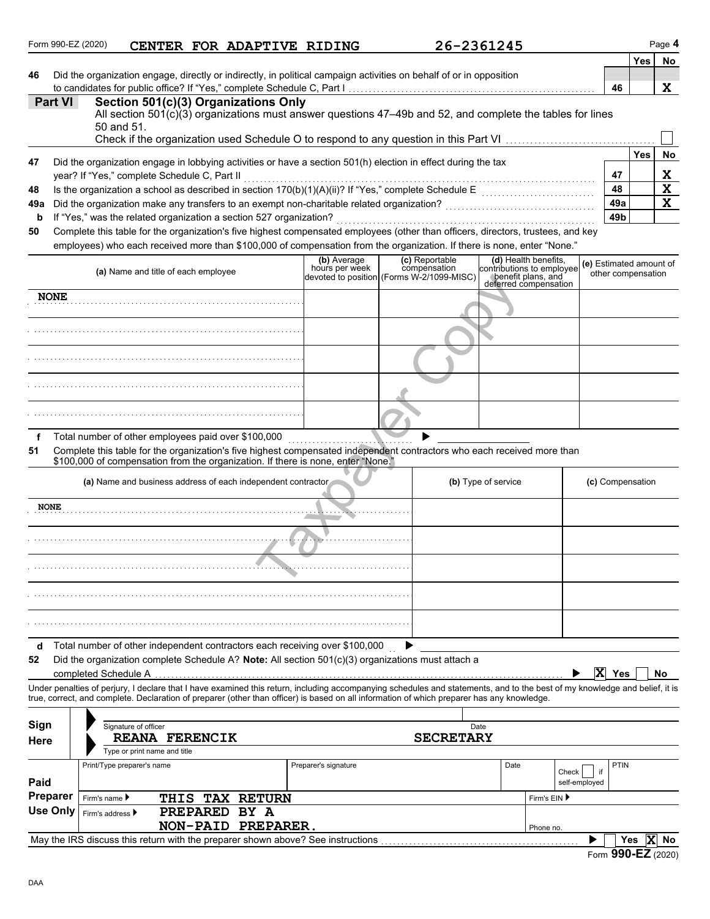|      | Form 990-EZ (2020) |                                      |                                              | CENTER FOR ADAPTIVE RIDING                                         |                                                                                           |                                                                                                                                                                                                                                                                                                                          | 26-2361245          |                                                                          |                                               |              | Page 4      |
|------|--------------------|--------------------------------------|----------------------------------------------|--------------------------------------------------------------------|-------------------------------------------------------------------------------------------|--------------------------------------------------------------------------------------------------------------------------------------------------------------------------------------------------------------------------------------------------------------------------------------------------------------------------|---------------------|--------------------------------------------------------------------------|-----------------------------------------------|--------------|-------------|
|      |                    |                                      |                                              |                                                                    |                                                                                           |                                                                                                                                                                                                                                                                                                                          |                     |                                                                          |                                               | Yes          | No          |
| 46   |                    |                                      |                                              |                                                                    |                                                                                           | Did the organization engage, directly or indirectly, in political campaign activities on behalf of or in opposition                                                                                                                                                                                                      |                     |                                                                          | 46                                            |              | X           |
|      | <b>Part VI</b>     |                                      |                                              | Section 501(c)(3) Organizations Only                               |                                                                                           |                                                                                                                                                                                                                                                                                                                          |                     |                                                                          |                                               |              |             |
|      |                    |                                      |                                              |                                                                    |                                                                                           | All section $501(c)(3)$ organizations must answer questions 47-49b and 52, and complete the tables for lines                                                                                                                                                                                                             |                     |                                                                          |                                               |              |             |
|      |                    | 50 and 51.                           |                                              |                                                                    |                                                                                           |                                                                                                                                                                                                                                                                                                                          |                     |                                                                          |                                               |              |             |
|      |                    |                                      |                                              |                                                                    |                                                                                           | Check if the organization used Schedule O to respond to any question in this Part VI                                                                                                                                                                                                                                     |                     |                                                                          |                                               |              |             |
| 47   |                    |                                      |                                              |                                                                    |                                                                                           | Did the organization engage in lobbying activities or have a section 501(h) election in effect during the tax                                                                                                                                                                                                            |                     |                                                                          |                                               | Yes          | No          |
|      |                    |                                      | year? If "Yes," complete Schedule C, Part II |                                                                    |                                                                                           |                                                                                                                                                                                                                                                                                                                          |                     |                                                                          | 47                                            |              | X           |
| 48   |                    |                                      |                                              |                                                                    |                                                                                           | Is the organization a school as described in section 170(b)(1)(A)(ii)? If "Yes," complete Schedule E                                                                                                                                                                                                                     |                     |                                                                          | 48                                            |              | $\mathbf x$ |
| 49a  |                    |                                      |                                              |                                                                    | Did the organization make any transfers to an exempt non-charitable related organization? |                                                                                                                                                                                                                                                                                                                          |                     |                                                                          | 49a                                           |              | $\mathbf x$ |
| b    |                    |                                      |                                              | If "Yes," was the related organization a section 527 organization? |                                                                                           |                                                                                                                                                                                                                                                                                                                          |                     |                                                                          | 49b                                           |              |             |
| 50   |                    |                                      |                                              |                                                                    |                                                                                           | Complete this table for the organization's five highest compensated employees (other than officers, directors, trustees, and key<br>employees) who each received more than \$100,000 of compensation from the organization. If there is none, enter "None."                                                              |                     |                                                                          |                                               |              |             |
|      |                    |                                      |                                              |                                                                    | (b) Average                                                                               | (c) Reportable                                                                                                                                                                                                                                                                                                           |                     | (d) Health benefits,                                                     |                                               |              |             |
|      |                    |                                      | (a) Name and title of each employee          |                                                                    | hours per week                                                                            | compensation<br>devoted to position (Forms W-2/1099-MISC)                                                                                                                                                                                                                                                                |                     | contributions to employee<br>benefit plans, and<br>deferred compensation | (e) Estimated amount of<br>other compensation |              |             |
|      | <b>NONE</b>        |                                      |                                              |                                                                    |                                                                                           |                                                                                                                                                                                                                                                                                                                          |                     |                                                                          |                                               |              |             |
|      |                    |                                      |                                              |                                                                    |                                                                                           |                                                                                                                                                                                                                                                                                                                          |                     |                                                                          |                                               |              |             |
|      |                    |                                      |                                              |                                                                    |                                                                                           |                                                                                                                                                                                                                                                                                                                          |                     |                                                                          |                                               |              |             |
|      |                    |                                      |                                              |                                                                    |                                                                                           |                                                                                                                                                                                                                                                                                                                          |                     |                                                                          |                                               |              |             |
|      |                    |                                      |                                              |                                                                    |                                                                                           |                                                                                                                                                                                                                                                                                                                          |                     |                                                                          |                                               |              |             |
| f    |                    |                                      |                                              | Total number of other employees paid over \$100,000                |                                                                                           |                                                                                                                                                                                                                                                                                                                          |                     |                                                                          |                                               |              |             |
| 51   |                    |                                      |                                              |                                                                    | \$100,000 of compensation from the organization. If there is none, enter "None."          | Complete this table for the organization's five highest compensated independent contractors who each received more than                                                                                                                                                                                                  |                     |                                                                          |                                               |              |             |
|      |                    |                                      |                                              | (a) Name and business address of each independent contractor       |                                                                                           |                                                                                                                                                                                                                                                                                                                          | (b) Type of service |                                                                          | (c) Compensation                              |              |             |
|      | <b>NONE</b>        |                                      |                                              |                                                                    |                                                                                           |                                                                                                                                                                                                                                                                                                                          |                     |                                                                          |                                               |              |             |
|      |                    |                                      |                                              |                                                                    |                                                                                           |                                                                                                                                                                                                                                                                                                                          |                     |                                                                          |                                               |              |             |
|      |                    |                                      |                                              |                                                                    |                                                                                           |                                                                                                                                                                                                                                                                                                                          |                     |                                                                          |                                               |              |             |
|      |                    |                                      |                                              |                                                                    |                                                                                           |                                                                                                                                                                                                                                                                                                                          |                     |                                                                          |                                               |              |             |
|      |                    |                                      |                                              |                                                                    |                                                                                           |                                                                                                                                                                                                                                                                                                                          |                     |                                                                          |                                               |              |             |
|      |                    |                                      |                                              |                                                                    |                                                                                           |                                                                                                                                                                                                                                                                                                                          |                     |                                                                          |                                               |              |             |
| d    |                    |                                      |                                              |                                                                    | Total number of other independent contractors each receiving over \$100,000               |                                                                                                                                                                                                                                                                                                                          |                     |                                                                          |                                               |              |             |
| 52   |                    |                                      |                                              |                                                                    |                                                                                           | Did the organization complete Schedule A? Note: All section $501(c)(3)$ organizations must attach a                                                                                                                                                                                                                      |                     |                                                                          | X Yes                                         |              | No          |
|      |                    |                                      |                                              |                                                                    |                                                                                           | Under penalties of perjury, I declare that I have examined this return, including accompanying schedules and statements, and to the best of my knowledge and belief, it is<br>true, correct, and complete. Declaration of preparer (other than officer) is based on all information of which preparer has any knowledge. |                     |                                                                          |                                               |              |             |
| Sign |                    |                                      | Signature of officer                         |                                                                    |                                                                                           |                                                                                                                                                                                                                                                                                                                          |                     |                                                                          |                                               |              |             |
| Here |                    |                                      | <b>REANA FERENCIK</b>                        |                                                                    |                                                                                           | <b>SECRETARY</b>                                                                                                                                                                                                                                                                                                         | Date                |                                                                          |                                               |              |             |
|      |                    |                                      | Type or print name and title                 |                                                                    |                                                                                           |                                                                                                                                                                                                                                                                                                                          |                     |                                                                          |                                               |              |             |
| Paid |                    | Print/Type preparer's name           |                                              |                                                                    | Preparer's signature                                                                      |                                                                                                                                                                                                                                                                                                                          | Date                | Check                                                                    | <b>PTIN</b><br>if<br>self-employed            |              |             |
|      | <b>Preparer</b>    | Firm's name ▶                        |                                              | THIS TAX RETURN                                                    |                                                                                           |                                                                                                                                                                                                                                                                                                                          |                     | Firm's EIN ▶                                                             |                                               |              |             |
|      | <b>Use Only</b>    | Firm's address $\blacktriangleright$ |                                              | PREPARED BY A                                                      |                                                                                           |                                                                                                                                                                                                                                                                                                                          |                     |                                                                          |                                               |              |             |
|      |                    |                                      |                                              | NON-PAID PREPARER.                                                 |                                                                                           |                                                                                                                                                                                                                                                                                                                          |                     | Phone no.                                                                |                                               |              |             |
|      |                    |                                      |                                              |                                                                    | May the IRS discuss this return with the preparer shown above? See instructions           |                                                                                                                                                                                                                                                                                                                          |                     |                                                                          |                                               | Yes $ X $ No |             |

| Form 990-EZ (2020) |  |
|--------------------|--|
|--------------------|--|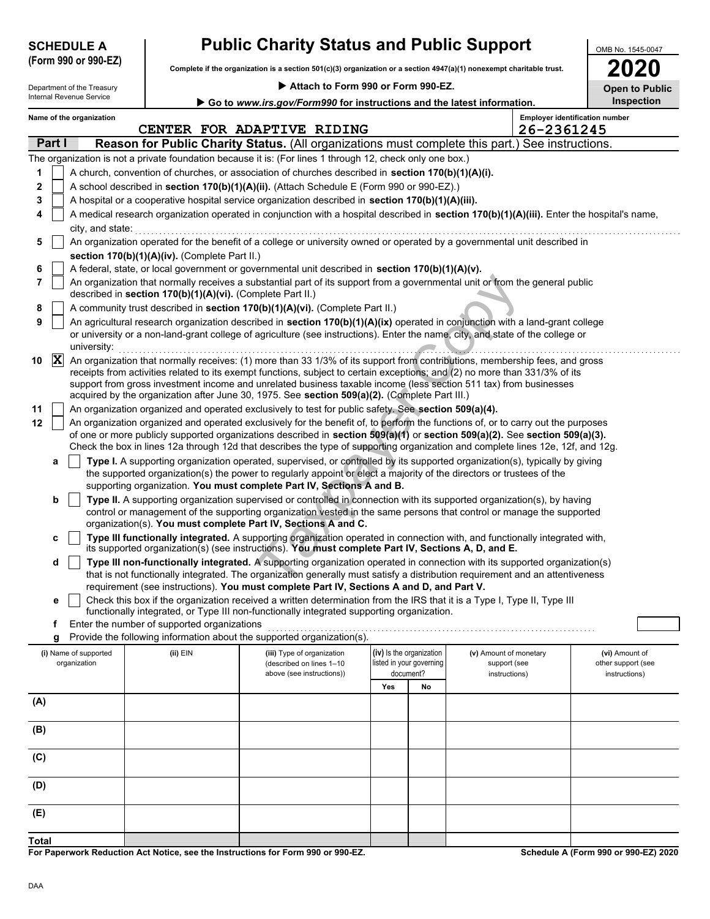| <b>SCHEDULE A</b> |                                         |
|-------------------|-----------------------------------------|
|                   | $\Gamma$ <sub>Carm</sub> 000 or 000 E.7 |

# **Public Charity Status and Public Support**

**Complete if the organization is a section 501(c)(3) organization or a section 4947(a)(1) nonexempt charitable trust. (Form 990 or 990-EZ)**

Department of the Treasury<br>Internal Revenue Service

 **Attach to Form 990 or Form 990-EZ.**

| pen : | $\overline{\mathbf{p}}$ | 41922<br>a. |
|-------|-------------------------|-------------|
|       |                         |             |

OMB No. 1545-0047

| Internal Revenue Service<br>Go to www.irs.gov/Form990 for instructions and the latest information. |                                                                                                            |                          |                                                            |                                                                                                                                                                                                                                                                                                                                                   |     |                                                                   | Inspection                                              |            |                                                       |
|----------------------------------------------------------------------------------------------------|------------------------------------------------------------------------------------------------------------|--------------------------|------------------------------------------------------------|---------------------------------------------------------------------------------------------------------------------------------------------------------------------------------------------------------------------------------------------------------------------------------------------------------------------------------------------------|-----|-------------------------------------------------------------------|---------------------------------------------------------|------------|-------------------------------------------------------|
|                                                                                                    |                                                                                                            | Name of the organization |                                                            | CENTER FOR ADAPTIVE RIDING                                                                                                                                                                                                                                                                                                                        |     |                                                                   |                                                         | 26-2361245 | <b>Employer identification number</b>                 |
|                                                                                                    | Part I<br>Reason for Public Charity Status. (All organizations must complete this part.) See instructions. |                          |                                                            |                                                                                                                                                                                                                                                                                                                                                   |     |                                                                   |                                                         |            |                                                       |
|                                                                                                    |                                                                                                            |                          |                                                            | The organization is not a private foundation because it is: (For lines 1 through 12, check only one box.)                                                                                                                                                                                                                                         |     |                                                                   |                                                         |            |                                                       |
| 1                                                                                                  |                                                                                                            |                          |                                                            | A church, convention of churches, or association of churches described in section 170(b)(1)(A)(i).                                                                                                                                                                                                                                                |     |                                                                   |                                                         |            |                                                       |
| $\mathbf 2$                                                                                        |                                                                                                            |                          |                                                            | A school described in section 170(b)(1)(A)(ii). (Attach Schedule E (Form 990 or 990-EZ).)                                                                                                                                                                                                                                                         |     |                                                                   |                                                         |            |                                                       |
| 3                                                                                                  |                                                                                                            |                          |                                                            | A hospital or a cooperative hospital service organization described in section 170(b)(1)(A)(iii).                                                                                                                                                                                                                                                 |     |                                                                   |                                                         |            |                                                       |
| 4                                                                                                  |                                                                                                            |                          |                                                            | A medical research organization operated in conjunction with a hospital described in section 170(b)(1)(A)(iii). Enter the hospital's name,                                                                                                                                                                                                        |     |                                                                   |                                                         |            |                                                       |
|                                                                                                    |                                                                                                            | city, and state:         |                                                            |                                                                                                                                                                                                                                                                                                                                                   |     |                                                                   |                                                         |            |                                                       |
| 5                                                                                                  |                                                                                                            |                          | section 170(b)(1)(A)(iv). (Complete Part II.)              | An organization operated for the benefit of a college or university owned or operated by a governmental unit described in                                                                                                                                                                                                                         |     |                                                                   |                                                         |            |                                                       |
| 6                                                                                                  |                                                                                                            |                          |                                                            | A federal, state, or local government or governmental unit described in section 170(b)(1)(A)(v).                                                                                                                                                                                                                                                  |     |                                                                   |                                                         |            |                                                       |
| 7                                                                                                  |                                                                                                            |                          | described in section 170(b)(1)(A)(vi). (Complete Part II.) | An organization that normally receives a substantial part of its support from a governmental unit or from the general public                                                                                                                                                                                                                      |     |                                                                   |                                                         |            |                                                       |
| 8                                                                                                  |                                                                                                            |                          |                                                            | A community trust described in section 170(b)(1)(A)(vi). (Complete Part II.)                                                                                                                                                                                                                                                                      |     |                                                                   |                                                         |            |                                                       |
| 9                                                                                                  |                                                                                                            | university:              |                                                            | An agricultural research organization described in section 170(b)(1)(A)(ix) operated in conjunction with a land-grant college<br>or university or a non-land-grant college of agriculture (see instructions). Enter the name, city, and state of the college or                                                                                   |     |                                                                   |                                                         |            |                                                       |
| 10                                                                                                 | $ {\bf X} $                                                                                                |                          |                                                            | An organization that normally receives: (1) more than 33 1/3% of its support from contributions, membership fees, and gross                                                                                                                                                                                                                       |     |                                                                   |                                                         |            |                                                       |
|                                                                                                    |                                                                                                            |                          |                                                            | receipts from activities related to its exempt functions, subject to certain exceptions; and (2) no more than 331/3% of its<br>support from gross investment income and unrelated business taxable income (less section 511 tax) from businesses<br>acquired by the organization after June 30, 1975. See section 509(a)(2). (Complete Part III.) |     |                                                                   |                                                         |            |                                                       |
| 11                                                                                                 |                                                                                                            |                          |                                                            | An organization organized and operated exclusively to test for public safety. See section 509(a)(4).                                                                                                                                                                                                                                              |     |                                                                   |                                                         |            |                                                       |
| 12                                                                                                 |                                                                                                            |                          |                                                            | An organization organized and operated exclusively for the benefit of, to perform the functions of, or to carry out the purposes<br>of one or more publicly supported organizations described in section 509(a)(1) or section 509(a)(2). See section 509(a)(3).                                                                                   |     |                                                                   |                                                         |            |                                                       |
|                                                                                                    |                                                                                                            |                          |                                                            | Check the box in lines 12a through 12d that describes the type of supporting organization and complete lines 12e, 12f, and 12g.                                                                                                                                                                                                                   |     |                                                                   |                                                         |            |                                                       |
|                                                                                                    | a                                                                                                          |                          |                                                            | Type I. A supporting organization operated, supervised, or controlled by its supported organization(s), typically by giving<br>the supported organization(s) the power to regularly appoint or elect a majority of the directors or trustees of the                                                                                               |     |                                                                   |                                                         |            |                                                       |
|                                                                                                    |                                                                                                            |                          |                                                            | supporting organization. You must complete Part IV, Sections A and B.                                                                                                                                                                                                                                                                             |     |                                                                   |                                                         |            |                                                       |
|                                                                                                    | b                                                                                                          |                          |                                                            | Type II. A supporting organization supervised or controlled in connection with its supported organization(s), by having                                                                                                                                                                                                                           |     |                                                                   |                                                         |            |                                                       |
|                                                                                                    |                                                                                                            |                          |                                                            | control or management of the supporting organization vested in the same persons that control or manage the supported                                                                                                                                                                                                                              |     |                                                                   |                                                         |            |                                                       |
|                                                                                                    |                                                                                                            |                          |                                                            | organization(s). You must complete Part IV, Sections A and C.                                                                                                                                                                                                                                                                                     |     |                                                                   |                                                         |            |                                                       |
|                                                                                                    | c                                                                                                          |                          |                                                            | Type III functionally integrated. A supporting organization operated in connection with, and functionally integrated with,<br>its supported organization(s) (see instructions). You must complete Part IV, Sections A, D, and E.                                                                                                                  |     |                                                                   |                                                         |            |                                                       |
|                                                                                                    | d                                                                                                          |                          |                                                            | Type III non-functionally integrated. A supporting organization operated in connection with its supported organization(s)                                                                                                                                                                                                                         |     |                                                                   |                                                         |            |                                                       |
|                                                                                                    |                                                                                                            |                          |                                                            | that is not functionally integrated. The organization generally must satisfy a distribution requirement and an attentiveness                                                                                                                                                                                                                      |     |                                                                   |                                                         |            |                                                       |
|                                                                                                    |                                                                                                            |                          |                                                            | requirement (see instructions). You must complete Part IV, Sections A and D, and Part V.                                                                                                                                                                                                                                                          |     |                                                                   |                                                         |            |                                                       |
|                                                                                                    | е                                                                                                          |                          |                                                            | Check this box if the organization received a written determination from the IRS that it is a Type I, Type II, Type III<br>functionally integrated, or Type III non-functionally integrated supporting organization.                                                                                                                              |     |                                                                   |                                                         |            |                                                       |
|                                                                                                    | f                                                                                                          |                          | Enter the number of supported organizations                |                                                                                                                                                                                                                                                                                                                                                   |     |                                                                   |                                                         |            |                                                       |
|                                                                                                    | g                                                                                                          |                          |                                                            | Provide the following information about the supported organization(s).                                                                                                                                                                                                                                                                            |     |                                                                   |                                                         |            |                                                       |
|                                                                                                    | organization                                                                                               | (i) Name of supported    | (ii) EIN                                                   | (iii) Type of organization<br>(described on lines 1-10<br>above (see instructions))                                                                                                                                                                                                                                                               |     | (iv) Is the organization<br>listed in your governing<br>document? | (v) Amount of monetary<br>support (see<br>instructions) |            | (vi) Amount of<br>other support (see<br>instructions) |
|                                                                                                    |                                                                                                            |                          |                                                            |                                                                                                                                                                                                                                                                                                                                                   | Yes | No                                                                |                                                         |            |                                                       |
| (A)                                                                                                |                                                                                                            |                          |                                                            |                                                                                                                                                                                                                                                                                                                                                   |     |                                                                   |                                                         |            |                                                       |
| (B)                                                                                                |                                                                                                            |                          |                                                            |                                                                                                                                                                                                                                                                                                                                                   |     |                                                                   |                                                         |            |                                                       |
| (C)                                                                                                |                                                                                                            |                          |                                                            |                                                                                                                                                                                                                                                                                                                                                   |     |                                                                   |                                                         |            |                                                       |
| (D)                                                                                                |                                                                                                            |                          |                                                            |                                                                                                                                                                                                                                                                                                                                                   |     |                                                                   |                                                         |            |                                                       |
| (E)                                                                                                |                                                                                                            |                          |                                                            |                                                                                                                                                                                                                                                                                                                                                   |     |                                                                   |                                                         |            |                                                       |
| <b>Total</b>                                                                                       |                                                                                                            |                          |                                                            |                                                                                                                                                                                                                                                                                                                                                   |     |                                                                   |                                                         |            |                                                       |

**For Paperwork Reduction Act Notice, see the Instructions for Form 990 or 990-EZ.**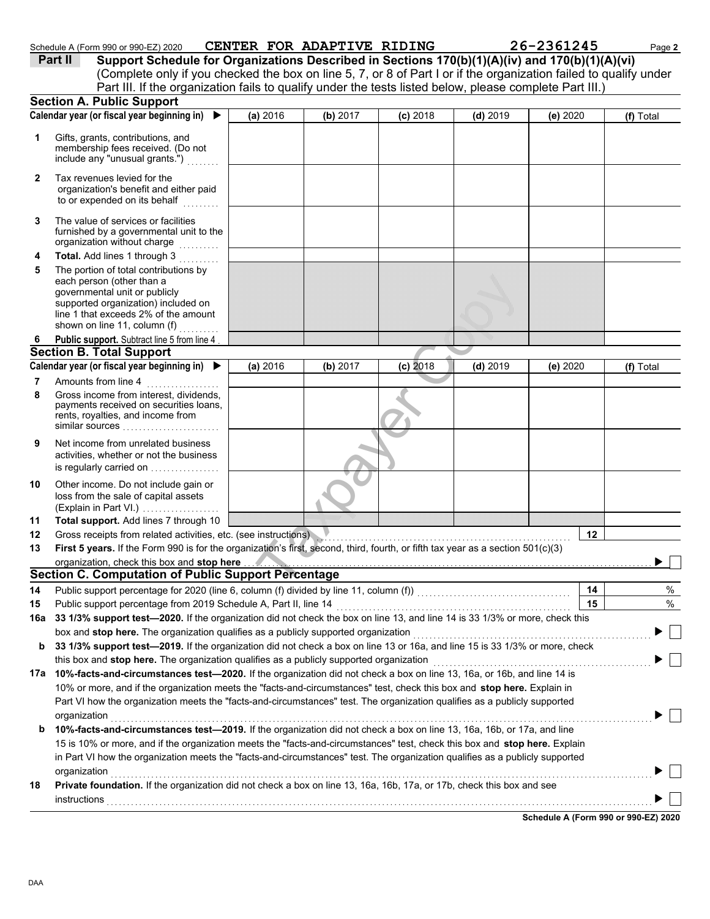|     | (Complete only if you checked the box on line 5, 7, or 8 of Part I or if the organization failed to qualify under<br>Part III. If the organization fails to qualify under the tests listed below, please complete Part III.)                         |          |          |            | $\cdots$   |          |    |           |
|-----|------------------------------------------------------------------------------------------------------------------------------------------------------------------------------------------------------------------------------------------------------|----------|----------|------------|------------|----------|----|-----------|
|     | <b>Section A. Public Support</b>                                                                                                                                                                                                                     |          |          |            |            |          |    |           |
|     | Calendar year (or fiscal year beginning in) $\blacktriangleright$                                                                                                                                                                                    | (a) 2016 | (b) 2017 | $(c)$ 2018 | $(d)$ 2019 | (e) 2020 |    | (f) Total |
| 1   | Gifts, grants, contributions, and<br>membership fees received. (Do not<br>include any "unusual grants.")                                                                                                                                             |          |          |            |            |          |    |           |
| 2   | Tax revenues levied for the<br>organization's benefit and either paid<br>to or expended on its behalf<br>in Salaran                                                                                                                                  |          |          |            |            |          |    |           |
| 3   | The value of services or facilities<br>furnished by a governmental unit to the<br>organization without charge<br>.                                                                                                                                   |          |          |            |            |          |    |           |
| 4   | Total. Add lines 1 through 3                                                                                                                                                                                                                         |          |          |            |            |          |    |           |
| 5   | The portion of total contributions by<br>each person (other than a<br>governmental unit or publicly<br>supported organization) included on<br>line 1 that exceeds 2% of the amount                                                                   |          |          |            |            |          |    |           |
|     | shown on line 11, column (f)                                                                                                                                                                                                                         |          |          |            |            |          |    |           |
| 6   | Public support. Subtract line 5 from line 4                                                                                                                                                                                                          |          |          |            |            |          |    |           |
|     | <b>Section B. Total Support</b>                                                                                                                                                                                                                      |          |          |            |            |          |    |           |
|     | Calendar year (or fiscal year beginning in) $\blacktriangleright$                                                                                                                                                                                    | (a) 2016 | (b) 2017 | $(c)$ 2018 | $(d)$ 2019 | (e) 2020 |    | (f) Total |
| 7   | Amounts from line 4                                                                                                                                                                                                                                  |          |          |            |            |          |    |           |
| 8   | Gross income from interest, dividends.<br>payments received on securities loans,<br>rents, royalties, and income from<br>similar sources                                                                                                             |          |          |            |            |          |    |           |
| 9   | Net income from unrelated business<br>activities, whether or not the business<br>is regularly carried on                                                                                                                                             |          |          |            |            |          |    |           |
| 10  | Other income. Do not include gain or<br>loss from the sale of capital assets<br>(Explain in Part VI.)                                                                                                                                                |          |          |            |            |          |    |           |
| 11  | Total support. Add lines 7 through 10                                                                                                                                                                                                                |          |          |            |            |          |    |           |
| 12  | Gross receipts from related activities, etc. (see instructions)                                                                                                                                                                                      |          |          |            |            |          | 12 |           |
| 13  | First 5 years. If the Form 990 is for the organization's first, second, third, fourth, or fifth tax year as a section 501(c)(3)                                                                                                                      |          |          |            |            |          |    |           |
|     | organization, check this box and stop here                                                                                                                                                                                                           |          |          |            |            |          |    |           |
|     | <b>Section C. Computation of Public Support Percentage</b>                                                                                                                                                                                           |          |          |            |            |          |    |           |
| 14  | Public support percentage for 2020 (line 6, column (f) divided by line 11, column (f)) [[[[[[[[[[[[[[[[[[[[[[                                                                                                                                        |          |          |            |            |          | 14 | $\%$      |
| 15  | Public support percentage from 2019 Schedule A, Part II, line 14<br>33 1/3% support test-2020. If the organization did not check the box on line 13, and line 14 is 33 1/3% or more, check this                                                      |          |          |            |            |          | 15 | $\%$      |
| 16a | box and stop here. The organization qualifies as a publicly supported organization                                                                                                                                                                   |          |          |            |            |          |    |           |
|     | b 33 1/3% support test-2019. If the organization did not check a box on line 13 or 16a, and line 15 is 33 1/3% or more, check                                                                                                                        |          |          |            |            |          |    |           |
|     | this box and stop here. The organization qualifies as a publicly supported organization                                                                                                                                                              |          |          |            |            |          |    |           |
| 17а | 10%-facts-and-circumstances test-2020. If the organization did not check a box on line 13, 16a, or 16b, and line 14 is                                                                                                                               |          |          |            |            |          |    |           |
|     | 10% or more, and if the organization meets the "facts-and-circumstances" test, check this box and stop here. Explain in<br>Part VI how the organization meets the "facts-and-circumstances" test. The organization qualifies as a publicly supported |          |          |            |            |          |    |           |
|     | organization                                                                                                                                                                                                                                         |          |          |            |            |          |    |           |
| b   | 10%-facts-and-circumstances test-2019. If the organization did not check a box on line 13, 16a, 16b, or 17a, and line                                                                                                                                |          |          |            |            |          |    |           |
|     | 15 is 10% or more, and if the organization meets the "facts-and-circumstances" test, check this box and stop here. Explain                                                                                                                           |          |          |            |            |          |    |           |
|     | in Part VI how the organization meets the "facts-and-circumstances" test. The organization qualifies as a publicly supported                                                                                                                         |          |          |            |            |          |    |           |
|     | organization                                                                                                                                                                                                                                         |          |          |            |            |          |    |           |
| 18  | Private foundation. If the organization did not check a box on line 13, 16a, 16b, 17a, or 17b, check this box and see                                                                                                                                |          |          |            |            |          |    |           |
|     | <b>instructions</b>                                                                                                                                                                                                                                  |          |          |            |            |          |    |           |

Schedule A (Form 990 or 990-EZ) 2020 **CENTER FOR ADAPTIVE RIDING 26-2361245** Page 2

**Part II** Support Schedule for Organizations Described in Sections 170(b)(1)(A)(iv) and 170(b)(1)(A)(vi)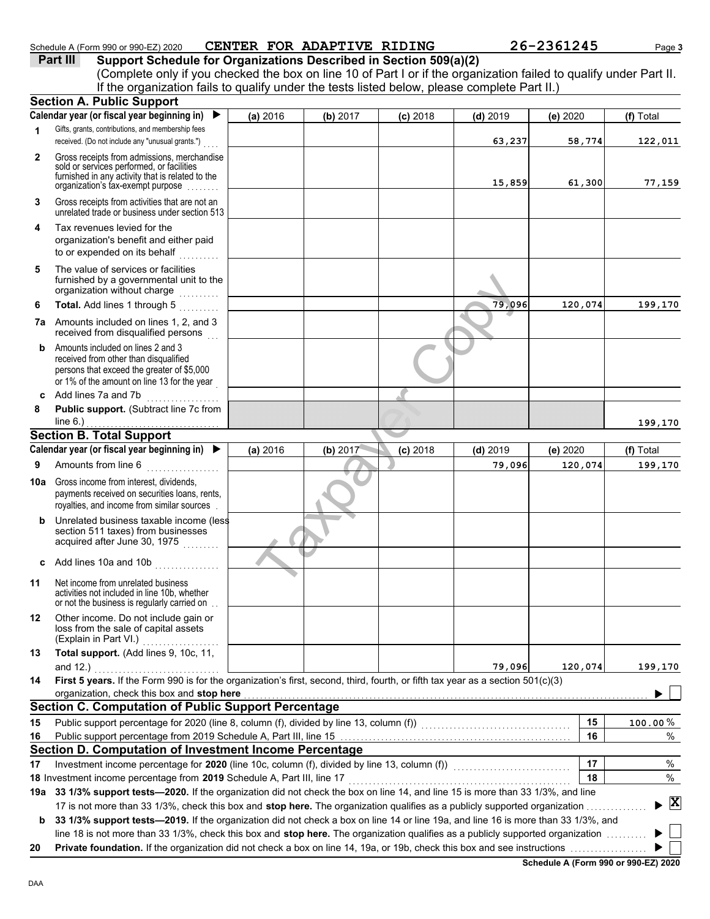|          | Schedule A (Form 990 or 990-EZ) 2020                              |  | CENTER FOR ADAPTIVE RIDING | 26-2361245 | Page 3 |
|----------|-------------------------------------------------------------------|--|----------------------------|------------|--------|
| Part III | Support Schedule for Organizations Described in Section 509(a)(2) |  |                            |            |        |

| $-2361245$ |  |
|------------|--|
|------------|--|

|              | (Complete only if you checked the box on line 10 of Part I or if the organization failed to qualify under Part II.<br>If the organization fails to qualify under the tests listed below, please complete Part II.)                                                   |          |            |            |            |          |                |
|--------------|----------------------------------------------------------------------------------------------------------------------------------------------------------------------------------------------------------------------------------------------------------------------|----------|------------|------------|------------|----------|----------------|
|              | <b>Section A. Public Support</b>                                                                                                                                                                                                                                     |          |            |            |            |          |                |
|              | Calendar year (or fiscal year beginning in)<br>$\blacktriangleright$                                                                                                                                                                                                 | (a) 2016 | (b) 2017   | $(c)$ 2018 | $(d)$ 2019 | (e) 2020 | (f) Total      |
| 1            | Gifts, grants, contributions, and membership fees                                                                                                                                                                                                                    |          |            |            |            |          |                |
|              | received. (Do not include any "unusual grants.")                                                                                                                                                                                                                     |          |            |            | 63,237     | 58,774   | 122,011        |
| $\mathbf{2}$ | Gross receipts from admissions, merchandise<br>sold or services performed, or facilities<br>furnished in any activity that is related to the<br>organization's tax-exempt purpose                                                                                    |          |            |            | 15,859     | 61,300   | 77,159         |
| 3            | Gross receipts from activities that are not an<br>unrelated trade or business under section 513                                                                                                                                                                      |          |            |            |            |          |                |
| 4            | Tax revenues levied for the<br>organization's benefit and either paid<br>to or expended on its behalf<br>in de Berlin                                                                                                                                                |          |            |            |            |          |                |
| 5            | The value of services or facilities<br>furnished by a governmental unit to the<br>organization without charge                                                                                                                                                        |          |            |            |            |          |                |
| 6            | Total. Add lines 1 through 5                                                                                                                                                                                                                                         |          |            |            | 79,096     | 120,074  | 199,170        |
|              | 7a Amounts included on lines 1, 2, and 3<br>received from disqualified persons                                                                                                                                                                                       |          |            |            |            |          |                |
| b            | Amounts included on lines 2 and 3<br>received from other than disqualified<br>persons that exceed the greater of \$5,000<br>or 1% of the amount on line 13 for the year                                                                                              |          |            |            |            |          |                |
|              | c Add lines 7a and 7b                                                                                                                                                                                                                                                |          |            |            |            |          |                |
| 8            | Public support. (Subtract line 7c from<br>line $6.$ )                                                                                                                                                                                                                |          |            |            |            |          | 199,170        |
|              | <b>Section B. Total Support</b>                                                                                                                                                                                                                                      |          |            |            |            |          |                |
|              | Calendar year (or fiscal year beginning in)<br>▶                                                                                                                                                                                                                     | (a) 2016 | (b) $2017$ | $(c)$ 2018 | $(d)$ 2019 | (e) 2020 | (f) Total      |
| 9            | Amounts from line 6                                                                                                                                                                                                                                                  |          |            |            | 79,096     | 120,074  | 199,170        |
| 10a          | Gross income from interest, dividends,<br>payments received on securities loans, rents,<br>royalties, and income from similar sources                                                                                                                                |          |            |            |            |          |                |
| b            | Unrelated business taxable income (less<br>section 511 taxes) from businesses<br>acquired after June 30, 1975                                                                                                                                                        |          |            |            |            |          |                |
| C            | Add lines 10a and 10b                                                                                                                                                                                                                                                |          |            |            |            |          |                |
| 11           | Net income from unrelated business<br>activities not included in line 10b, whether<br>or not the business is regularly carried on.                                                                                                                                   |          |            |            |            |          |                |
| 12           | Other income. Do not include gain or<br>loss from the sale of capital assets<br>(Explain in Part VI.)                                                                                                                                                                |          |            |            |            |          |                |
| 13           | Total support. (Add lines 9, 10c, 11,                                                                                                                                                                                                                                |          |            |            |            |          |                |
|              | and 12.)                                                                                                                                                                                                                                                             |          |            |            | 79,096     | 120,074  | 199,170        |
| 14           | First 5 years. If the Form 990 is for the organization's first, second, third, fourth, or fifth tax year as a section 501(c)(3)<br>organization, check this box and stop here                                                                                        |          |            |            |            |          |                |
|              | <b>Section C. Computation of Public Support Percentage</b>                                                                                                                                                                                                           |          |            |            |            |          |                |
| 15           | Public support percentage for 2020 (line 8, column (f), divided by line 13, column (f))<br>Fublic support percentage for 2020 (line 8, column (f), divided by line 13, column (f))                                                                                   |          |            |            |            | 15       | $100.00\,\%$   |
| 16           |                                                                                                                                                                                                                                                                      |          |            |            |            | 16       | %              |
|              | Section D. Computation of Investment Income Percentage                                                                                                                                                                                                               |          |            |            |            |          |                |
| 17           | Investment income percentage for 2020 (line 10c, column (f), divided by line 13, column (f)) [[[[[[[[[[[[[[[[[                                                                                                                                                       |          |            |            |            | 17       | $\%$           |
|              | 18 Investment income percentage from 2019 Schedule A, Part III, line 17                                                                                                                                                                                              |          |            |            |            | 18       | %              |
|              | 19a 33 1/3% support tests—2020. If the organization did not check the box on line 14, and line 15 is more than 33 1/3%, and line                                                                                                                                     |          |            |            |            |          | $ \mathbf{x} $ |
|              | 17 is not more than 33 1/3%, check this box and stop here. The organization qualifies as a publicly supported organization                                                                                                                                           |          |            |            |            |          |                |
| b            | 33 1/3% support tests-2019. If the organization did not check a box on line 14 or line 19a, and line 16 is more than 33 1/3%, and<br>line 18 is not more than 33 1/3%, check this box and stop here. The organization qualifies as a publicly supported organization |          |            |            |            |          |                |
| 20           |                                                                                                                                                                                                                                                                      |          |            |            |            |          |                |
|              |                                                                                                                                                                                                                                                                      |          |            |            |            |          |                |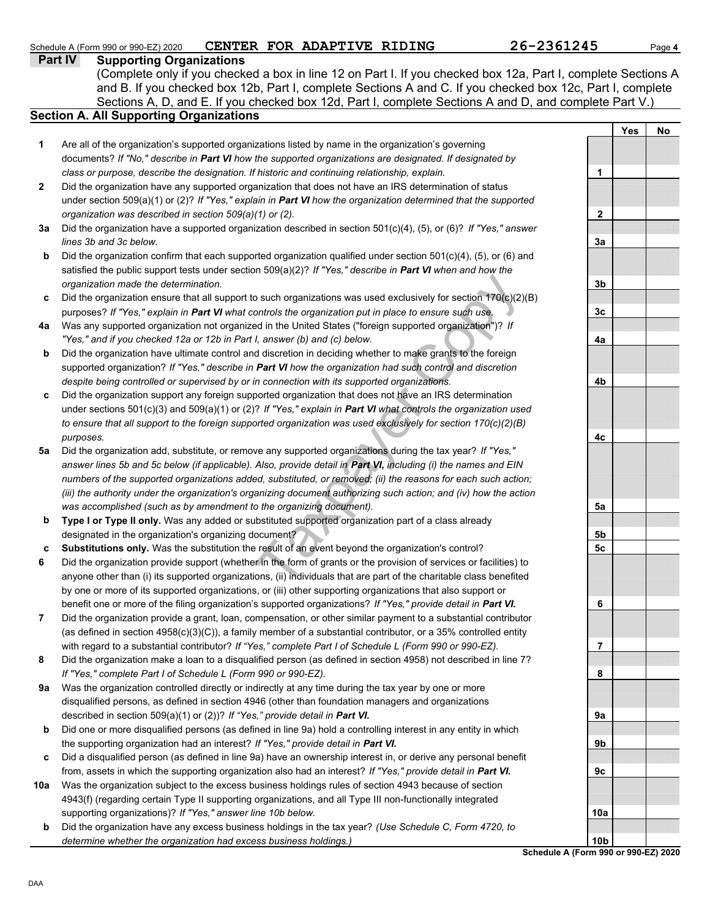- documents? *If "No," describe in Part VI how the supported organizations are designated. If designated by class or purpose, describe the designation. If historic and continuing relationship, explain.* Did the organization have any supported organization that does not have an IRS determination of status under section 509(a)(1) or (2)? *If "Yes," explain in Part VI how the organization determined that the supported organization was described in section 509(a)(1) or (2).* **2**
- **3a** Did the organization have a supported organization described in section 501(c)(4), (5), or (6)? *If "Yes," answer lines 3b and 3c below.*
- **b** Did the organization confirm that each supported organization qualified under section  $501(c)(4)$ , (5), or (6) and satisfied the public support tests under section 509(a)(2)? *If "Yes," describe in Part VI when and how the organization made the determination.*
- **c** Did the organization ensure that all support to such organizations was used exclusively for section 170(c)(2)(B) purposes? *If "Yes," explain in Part VI what controls the organization put in place to ensure such use.*
- **4a** Was any supported organization not organized in the United States ("foreign supported organization")? *If "Yes," and if you checked 12a or 12b in Part I, answer (b) and (c) below.*
- **b** Did the organization have ultimate control and discretion in deciding whether to make grants to the foreign supported organization? *If "Yes," describe in Part VI how the organization had such control and discretion despite being controlled or supervised by or in connection with its supported organizations.*
- **c** Did the organization support any foreign supported organization that does not have an IRS determination under sections 501(c)(3) and 509(a)(1) or (2)? *If "Yes," explain in Part VI what controls the organization used to ensure that all support to the foreign supported organization was used exclusively for section 170(c)(2)(B) purposes.*
- b such organizations was used exclusively for section 170(c)(2)<br>ontrols the organization put in place to ensure such use.<br>At the United States ("foreign supported organization")? If<br>a snower (b) and (c) below.<br>**Part VI** h **5a** Did the organization add, substitute, or remove any supported organizations during the tax year? *If "Yes," answer lines 5b and 5c below (if applicable). Also, provide detail in Part VI, including (i) the names and EIN numbers of the supported organizations added, substituted, or removed; (ii) the reasons for each such action; (iii) the authority under the organization's organizing document authorizing such action; and (iv) how the action was accomplished (such as by amendment to the organizing document).*
- **b Type I or Type II only.** Was any added or substituted supported organization part of a class already designated in the organization's organizing document?
- **c Substitutions only.** Was the substitution the result of an event beyond the organization's control?
- **6** Did the organization provide support (whether in the form of grants or the provision of services or facilities) to anyone other than (i) its supported organizations, (ii) individuals that are part of the charitable class benefited by one or more of its supported organizations, or (iii) other supporting organizations that also support or benefit one or more of the filing organization's supported organizations? *If "Yes," provide detail in Part VI.*
- **7** Did the organization provide a grant, loan, compensation, or other similar payment to a substantial contributor (as defined in section 4958(c)(3)(C)), a family member of a substantial contributor, or a 35% controlled entity with regard to a substantial contributor? *If "Yes," complete Part I of Schedule L (Form 990 or 990-EZ).*
- **8** Did the organization make a loan to a disqualified person (as defined in section 4958) not described in line 7? *If "Yes," complete Part I of Schedule L (Form 990 or 990-EZ).*
- **9a** Was the organization controlled directly or indirectly at any time during the tax year by one or more disqualified persons, as defined in section 4946 (other than foundation managers and organizations described in section 509(a)(1) or (2))? *If "Yes," provide detail in Part VI.*
- **b** Did one or more disqualified persons (as defined in line 9a) hold a controlling interest in any entity in which the supporting organization had an interest? *If "Yes," provide detail in Part VI.*
- **c** Did a disqualified person (as defined in line 9a) have an ownership interest in, or derive any personal benefit from, assets in which the supporting organization also had an interest? *If "Yes," provide detail in Part VI.*
- **10a** Was the organization subject to the excess business holdings rules of section 4943 because of section 4943(f) (regarding certain Type II supporting organizations, and all Type III non-functionally integrated supporting organizations)? *If "Yes," answer line 10b below.*
- **b** Did the organization have any excess business holdings in the tax year? *(Use Schedule C, Form 4720, to determine whether the organization had excess business holdings.)*

**Yes No 1 2 3a 3b 3c 4a 4b 4c 5a 5b 5c 6 7 8 9a 9b 9c 10a 10b**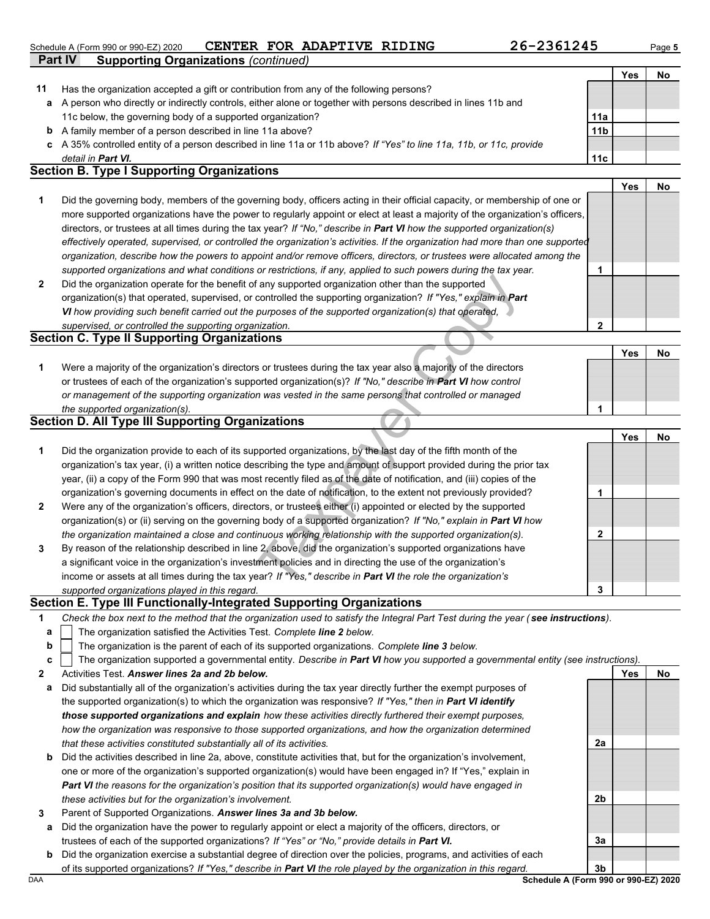## Schedule A (Form 990 or 990-EZ) 2020 **CENTER FOR ADAPTIVE RIDING 26-2361245** Page 5

| 26-2361245 |  |  |  |  |  |  |  |  |
|------------|--|--|--|--|--|--|--|--|
|------------|--|--|--|--|--|--|--|--|

|    | <b>Supporting Organizations</b> ( <i>committed</i> )                                                                 |                 | Yes | No |
|----|----------------------------------------------------------------------------------------------------------------------|-----------------|-----|----|
|    |                                                                                                                      |                 |     |    |
| 11 | Has the organization accepted a gift or contribution from any of the following persons?                              |                 |     |    |
| a  | A person who directly or indirectly controls, either alone or together with persons described in lines 11b and       |                 |     |    |
|    | 11c below, the governing body of a supported organization?                                                           | 11a             |     |    |
| b  | A family member of a person described in line 11a above?                                                             | 11 <sub>b</sub> |     |    |
|    | c A 35% controlled entity of a person described in line 11a or 11b above? If "Yes" to line 11a, 11b, or 11c, provide |                 |     |    |
|    | detail in <b>Part VI.</b>                                                                                            | 11c             |     |    |
|    | <b>Section B. Type I Supporting Organizations</b>                                                                    |                 |     |    |
|    |                                                                                                                      |                 | Yes | No |
|    | .<br>----                                                                                                            |                 |     |    |

| Did the governing body, members of the governing body, officers acting in their official capacity, or membership of one or     |  |  |
|--------------------------------------------------------------------------------------------------------------------------------|--|--|
| more supported organizations have the power to regularly appoint or elect at least a majority of the organization's officers,  |  |  |
| directors, or trustees at all times during the tax year? If "No," describe in Part VI how the supported organization(s)        |  |  |
| effectively operated, supervised, or controlled the organization's activities. If the organization had more than one supported |  |  |
| organization, describe how the powers to appoint and/or remove officers, directors, or trustees were allocated among the       |  |  |
| supported organizations and what conditions or restrictions, if any, applied to such powers during the tax year.               |  |  |
| Did the organization operate for the benefit of any supported organization other than the supported                            |  |  |
| organization(s) that operated, supervised, or controlled the supporting organization? If "Yes," explain in Part                |  |  |

#### *supervised, or controlled the supporting organization.* **Section C. Type II Supporting Organizations**

**Part IV Supporting Organizations** *(continued)*

|                                                                                                                  | Yes | <b>No</b> |
|------------------------------------------------------------------------------------------------------------------|-----|-----------|
| Were a majority of the organization's directors or trustees during the tax year also a majority of the directors |     |           |
| or trustees of each of the organization's supported organization(s)? If "No," describe in Part VI how control    |     |           |
| or management of the supporting organization was vested in the same persons that controlled or managed           |     |           |
| the supported organization(s).                                                                                   |     |           |

## **Section D. All Type III Supporting Organizations**

| $\overline{2}$ | Did the organization operate for the benefit of any supported organization other than the supported                    |                |            |    |
|----------------|------------------------------------------------------------------------------------------------------------------------|----------------|------------|----|
|                | organization(s) that operated, supervised, or controlled the supporting organization? If "Yes," explain in Part        |                |            |    |
|                | VI how providing such benefit carried out the purposes of the supported organization(s) that operated,                 |                |            |    |
|                | supervised, or controlled the supporting organization.                                                                 | $\overline{2}$ |            |    |
|                | Section C. Type II Supporting Organizations                                                                            |                |            |    |
|                |                                                                                                                        |                | <b>Yes</b> | No |
| 1              | Were a majority of the organization's directors or trustees during the tax year also a majority of the directors       |                |            |    |
|                | or trustees of each of the organization's supported organization(s)? If "No," describe in Part VI how control          |                |            |    |
|                | or management of the supporting organization was vested in the same persons that controlled or managed                 |                |            |    |
|                | the supported organization(s).                                                                                         |                |            |    |
|                | Section D. All Type III Supporting Organizations                                                                       |                |            |    |
|                |                                                                                                                        |                | <b>Yes</b> | No |
| 1              | Did the organization provide to each of its supported organizations, by the last day of the fifth month of the         |                |            |    |
|                | organization's tax year, (i) a written notice describing the type and amount of support provided during the prior tax  |                |            |    |
|                | year, (ii) a copy of the Form 990 that was most recently filed as of the date of notification, and (iii) copies of the |                |            |    |
|                | organization's governing documents in effect on the date of notification, to the extent not previously provided?       | 1              |            |    |
| $\overline{2}$ | Were any of the organization's officers, directors, or trustees either (i) appointed or elected by the supported       |                |            |    |
|                | organization(s) or (ii) serving on the governing body of a supported organization? If "No," explain in Part VI how     |                |            |    |
|                | the organization maintained a close and continuous working relationship with the supported organization(s).            | 2              |            |    |
| 3              | By reason of the relationship described in line 2, above, did the organization's supported organizations have          |                |            |    |
|                | a significant voice in the organization's investment policies and in directing the use of the organization's           |                |            |    |
|                | income or assets at all times during the tax year? If "Yes," describe in Part VI the role the organization's           |                |            |    |
|                | supported organizations played in this regard.                                                                         | 3              |            |    |

## **Section E. Type III Functionally-Integrated Supporting Organizations**

| Check the box next to the method that the organization used to satisfy the Integral Part Test during the year (see instructions). |  |  |
|-----------------------------------------------------------------------------------------------------------------------------------|--|--|
|                                                                                                                                   |  |  |

- The organization satisfied the Activities Test. *Complete line 2 below.* **a**
- The organization is the parent of each of its supported organizations. *Complete line 3 below.* **b**

|  | $c$ The organization supported a governmental entity. Describe in Part VI how you supported a governmental entity (see instructions). |  |
|--|---------------------------------------------------------------------------------------------------------------------------------------|--|
|  |                                                                                                                                       |  |

- **2** Activities Test. *Answer lines 2a and 2b below.*
- **a** Did substantially all of the organization's activities during the tax year directly further the exempt purposes of the supported organization(s) to which the organization was responsive? *If "Yes," then in Part VI identify those supported organizations and explain how these activities directly furthered their exempt purposes, how the organization was responsive to those supported organizations, and how the organization determined that these activities constituted substantially all of its activities.*
- **b** Did the activities described in line 2a, above, constitute activities that, but for the organization's involvement, one or more of the organization's supported organization(s) would have been engaged in? If "Yes," explain in *Part VI the reasons for the organization's position that its supported organization(s) would have engaged in these activities but for the organization's involvement.*
- **3** Parent of Supported Organizations. *Answer lines 3a and 3b below.*
	- **a** Did the organization have the power to regularly appoint or elect a majority of the officers, directors, or trustees of each of the supported organizations? *If "Yes" or "No," provide details in Part VI.*
- DAA **Schedule A (Form 990 or 990-EZ) 2020 b** Did the organization exercise a substantial degree of direction over the policies, programs, and activities of each of its supported organizations? *If "Yes," describe in Part VI the role played by the organization in this regard.*

**3b**

**2a**

**2b**

**3a**

**Yes No**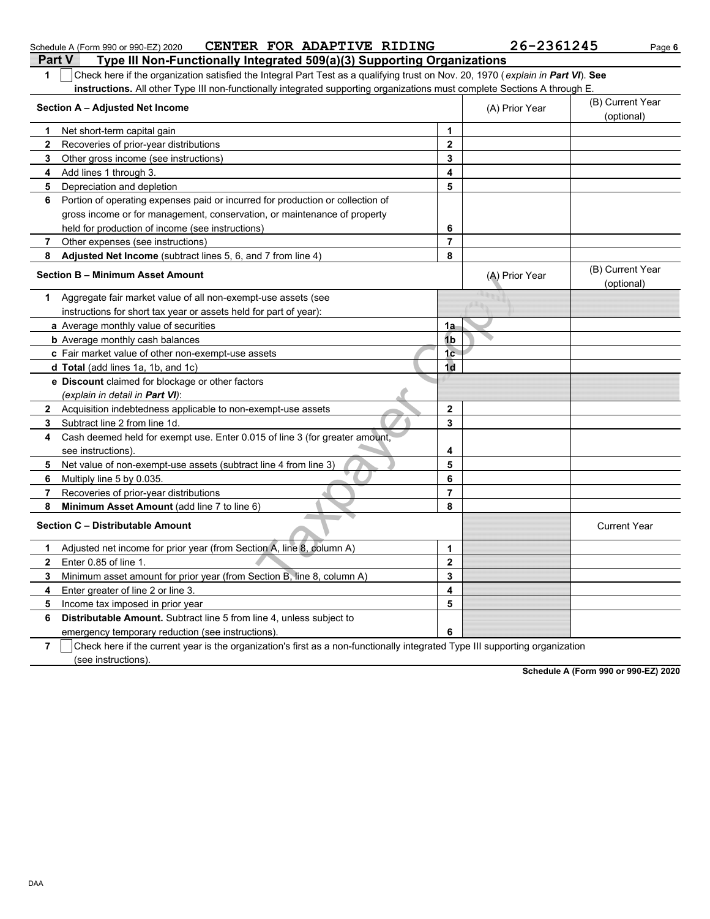| Part V       | Type III Non-Functionally Integrated 509(a)(3) Supporting Organizations                                                          |                |                |                                |  |  |
|--------------|----------------------------------------------------------------------------------------------------------------------------------|----------------|----------------|--------------------------------|--|--|
| 1            | Check here if the organization satisfied the Integral Part Test as a qualifying trust on Nov. 20, 1970 (explain in Part VI). See |                |                |                                |  |  |
|              | instructions. All other Type III non-functionally integrated supporting organizations must complete Sections A through E.        |                |                |                                |  |  |
|              | Section A - Adjusted Net Income                                                                                                  |                | (A) Prior Year | (B) Current Year<br>(optional) |  |  |
| 1.           | Net short-term capital gain                                                                                                      | 1              |                |                                |  |  |
| $\mathbf{2}$ | Recoveries of prior-year distributions                                                                                           | $\overline{2}$ |                |                                |  |  |
| 3            | Other gross income (see instructions)                                                                                            | 3              |                |                                |  |  |
| 4            | Add lines 1 through 3.                                                                                                           | 4              |                |                                |  |  |
| 5            | Depreciation and depletion                                                                                                       | 5              |                |                                |  |  |
| 6            | Portion of operating expenses paid or incurred for production or collection of                                                   |                |                |                                |  |  |
|              | gross income or for management, conservation, or maintenance of property                                                         |                |                |                                |  |  |
|              | held for production of income (see instructions)                                                                                 | 6              |                |                                |  |  |
| 7            | Other expenses (see instructions)                                                                                                | $\overline{7}$ |                |                                |  |  |
| 8            | <b>Adjusted Net Income</b> (subtract lines 5, 6, and 7 from line 4)                                                              | 8              |                |                                |  |  |
|              | Section B - Minimum Asset Amount                                                                                                 |                | (A) Prior Year | (B) Current Year<br>(optional) |  |  |
| 1            | Aggregate fair market value of all non-exempt-use assets (see                                                                    |                |                |                                |  |  |
|              | instructions for short tax year or assets held for part of year):                                                                |                |                |                                |  |  |
|              | a Average monthly value of securities                                                                                            | 1a             |                |                                |  |  |
|              | <b>b</b> Average monthly cash balances                                                                                           | 1 <sub>b</sub> |                |                                |  |  |
|              | c Fair market value of other non-exempt-use assets                                                                               | 1c             |                |                                |  |  |
|              | <b>d Total</b> (add lines 1a, 1b, and 1c)                                                                                        | 1 <sub>d</sub> |                |                                |  |  |
|              | e Discount claimed for blockage or other factors                                                                                 |                |                |                                |  |  |
|              | (explain in detail in <b>Part VI</b> ):                                                                                          |                |                |                                |  |  |
| $\mathbf{2}$ | Acquisition indebtedness applicable to non-exempt-use assets                                                                     | $\mathbf{2}$   |                |                                |  |  |
| 3            | Subtract line 2 from line 1d.                                                                                                    | 3              |                |                                |  |  |
| 4            | Cash deemed held for exempt use. Enter 0.015 of line 3 (for greater amount,                                                      |                |                |                                |  |  |
|              | see instructions).                                                                                                               | 4              |                |                                |  |  |
| 5            | Net value of non-exempt-use assets (subtract line 4 from line 3)                                                                 | 5              |                |                                |  |  |
| 6            | Multiply line 5 by 0.035.                                                                                                        | 6              |                |                                |  |  |
| 7            | Recoveries of prior-year distributions                                                                                           | $\overline{7}$ |                |                                |  |  |
| 8            | Minimum Asset Amount (add line 7 to line 6)                                                                                      | 8              |                |                                |  |  |
|              | <b>Section C - Distributable Amount</b>                                                                                          |                |                | <b>Current Year</b>            |  |  |
| 1            | Adjusted net income for prior year (from Section A, line 8, column A)                                                            | $\mathbf 1$    |                |                                |  |  |
| $\mathbf{2}$ | Enter 0.85 of line 1.                                                                                                            | $\overline{2}$ |                |                                |  |  |
| 3            | Minimum asset amount for prior year (from Section B, line 8, column A)                                                           | 3              |                |                                |  |  |
| 4            | Enter greater of line 2 or line 3.                                                                                               | 4              |                |                                |  |  |
| 5            | Income tax imposed in prior year                                                                                                 | 5              |                |                                |  |  |
| 6            | <b>Distributable Amount.</b> Subtract line 5 from line 4, unless subject to                                                      |                |                |                                |  |  |
|              | emergency temporary reduction (see instructions).                                                                                | 6              |                |                                |  |  |
| 7            | Check here if the current year is the organization's first as a non-functionally integrated Type III supporting organization     |                |                |                                |  |  |

Schedule A (Form 990 or 990-EZ) 2020 **CENTER FOR ADAPTIVE RIDING 26-2361245** Page 6

(see instructions).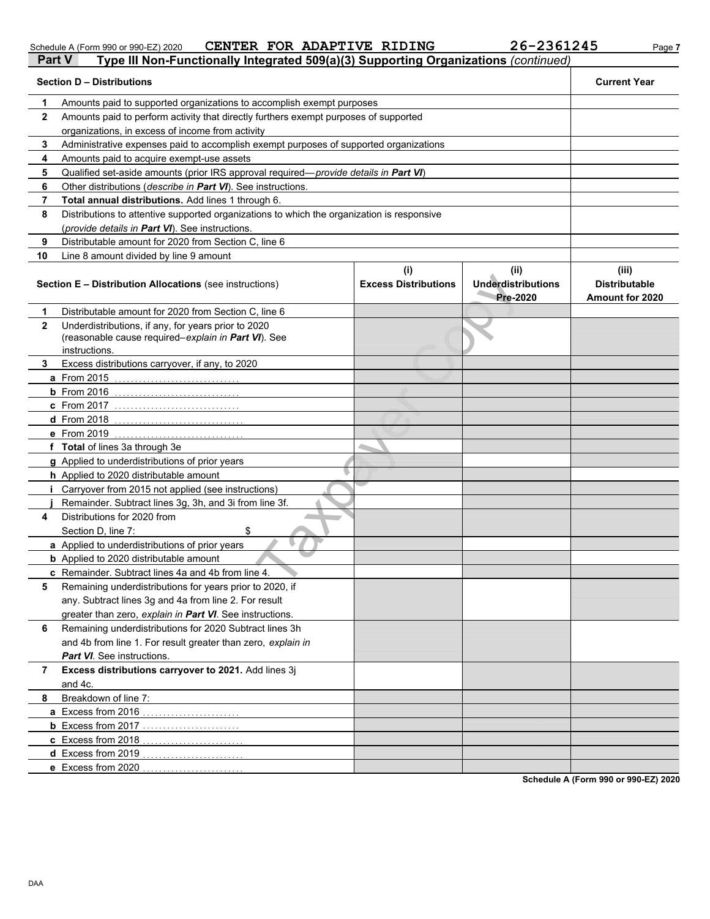| Schedule A (Form 990 or 990-EZ) 2020 | CENTER FOR ADAPTIVE RIDING |  | 26-2361245 | Page . |
|--------------------------------------|----------------------------|--|------------|--------|
|                                      |                            |  |            |        |

| Part V       | Type III Non-Functionally Integrated 509(a)(3) Supporting Organizations (continued)                                         |                                    |                                                      |                                                         |  |  |  |  |
|--------------|-----------------------------------------------------------------------------------------------------------------------------|------------------------------------|------------------------------------------------------|---------------------------------------------------------|--|--|--|--|
|              | <b>Section D - Distributions</b>                                                                                            |                                    |                                                      | <b>Current Year</b>                                     |  |  |  |  |
| 1            |                                                                                                                             |                                    |                                                      |                                                         |  |  |  |  |
| $\mathbf{2}$ | Amounts paid to perform activity that directly furthers exempt purposes of supported                                        |                                    |                                                      |                                                         |  |  |  |  |
|              | organizations, in excess of income from activity                                                                            |                                    |                                                      |                                                         |  |  |  |  |
| 3            | Administrative expenses paid to accomplish exempt purposes of supported organizations                                       |                                    |                                                      |                                                         |  |  |  |  |
| 4            | Amounts paid to acquire exempt-use assets                                                                                   |                                    |                                                      |                                                         |  |  |  |  |
| 5            | Qualified set-aside amounts (prior IRS approval required-provide details in Part VI)                                        |                                    |                                                      |                                                         |  |  |  |  |
| 6            | Other distributions (describe in Part VI). See instructions.                                                                |                                    |                                                      |                                                         |  |  |  |  |
| 7            | Total annual distributions. Add lines 1 through 6.                                                                          |                                    |                                                      |                                                         |  |  |  |  |
| 8            | Distributions to attentive supported organizations to which the organization is responsive                                  |                                    |                                                      |                                                         |  |  |  |  |
|              | (provide details in Part VI). See instructions.                                                                             |                                    |                                                      |                                                         |  |  |  |  |
| 9            | Distributable amount for 2020 from Section C, line 6                                                                        |                                    |                                                      |                                                         |  |  |  |  |
| 10           | Line 8 amount divided by line 9 amount                                                                                      |                                    |                                                      |                                                         |  |  |  |  |
|              | <b>Section E - Distribution Allocations (see instructions)</b>                                                              | (i)<br><b>Excess Distributions</b> | (ii)<br><b>Underdistributions</b><br><b>Pre-2020</b> | (iii)<br><b>Distributable</b><br><b>Amount for 2020</b> |  |  |  |  |
| 1            | Distributable amount for 2020 from Section C, line 6                                                                        |                                    |                                                      |                                                         |  |  |  |  |
| $\mathbf{2}$ | Underdistributions, if any, for years prior to 2020<br>(reasonable cause required-explain in Part VI). See<br>instructions. |                                    |                                                      |                                                         |  |  |  |  |
| 3.           | Excess distributions carryover, if any, to 2020                                                                             |                                    |                                                      |                                                         |  |  |  |  |
|              | <b>a</b> From 2015                                                                                                          |                                    |                                                      |                                                         |  |  |  |  |
|              | $b$ From 2016                                                                                                               |                                    |                                                      |                                                         |  |  |  |  |
|              | <b>c</b> From 2017                                                                                                          |                                    |                                                      |                                                         |  |  |  |  |
|              | <b>d</b> From 2018                                                                                                          |                                    |                                                      |                                                         |  |  |  |  |
|              | e From 2019                                                                                                                 |                                    |                                                      |                                                         |  |  |  |  |
|              | f Total of lines 3a through 3e                                                                                              |                                    |                                                      |                                                         |  |  |  |  |
|              | g Applied to underdistributions of prior years                                                                              |                                    |                                                      |                                                         |  |  |  |  |
|              | <b>h</b> Applied to 2020 distributable amount                                                                               |                                    |                                                      |                                                         |  |  |  |  |
|              | i Carryover from 2015 not applied (see instructions)                                                                        |                                    |                                                      |                                                         |  |  |  |  |
| 4            | Remainder. Subtract lines 3g, 3h, and 3i from line 3f.<br>Distributions for 2020 from<br>Æ                                  |                                    |                                                      |                                                         |  |  |  |  |
|              | \$<br>Section D, line 7:                                                                                                    |                                    |                                                      |                                                         |  |  |  |  |
|              | a Applied to underdistributions of prior years                                                                              |                                    |                                                      |                                                         |  |  |  |  |
|              | <b>b</b> Applied to 2020 distributable amount                                                                               |                                    |                                                      |                                                         |  |  |  |  |
|              | c Remainder. Subtract lines 4a and 4b from line 4.                                                                          |                                    |                                                      |                                                         |  |  |  |  |
| 5            | Remaining underdistributions for years prior to 2020, if                                                                    |                                    |                                                      |                                                         |  |  |  |  |
|              | any. Subtract lines 3g and 4a from line 2. For result                                                                       |                                    |                                                      |                                                         |  |  |  |  |
|              | greater than zero, explain in Part VI. See instructions.                                                                    |                                    |                                                      |                                                         |  |  |  |  |
| 6            | Remaining underdistributions for 2020 Subtract lines 3h                                                                     |                                    |                                                      |                                                         |  |  |  |  |
|              | and 4b from line 1. For result greater than zero, explain in                                                                |                                    |                                                      |                                                         |  |  |  |  |
|              | Part VI. See instructions.                                                                                                  |                                    |                                                      |                                                         |  |  |  |  |
| 7            | Excess distributions carryover to 2021. Add lines 3j                                                                        |                                    |                                                      |                                                         |  |  |  |  |
|              | and 4c.                                                                                                                     |                                    |                                                      |                                                         |  |  |  |  |
| 8            | Breakdown of line 7:                                                                                                        |                                    |                                                      |                                                         |  |  |  |  |
|              | a Excess from 2016                                                                                                          |                                    |                                                      |                                                         |  |  |  |  |
|              |                                                                                                                             |                                    |                                                      |                                                         |  |  |  |  |
|              | c Excess from 2018                                                                                                          |                                    |                                                      |                                                         |  |  |  |  |
|              | d Excess from 2019                                                                                                          |                                    |                                                      |                                                         |  |  |  |  |
|              | e Excess from 2020                                                                                                          |                                    |                                                      |                                                         |  |  |  |  |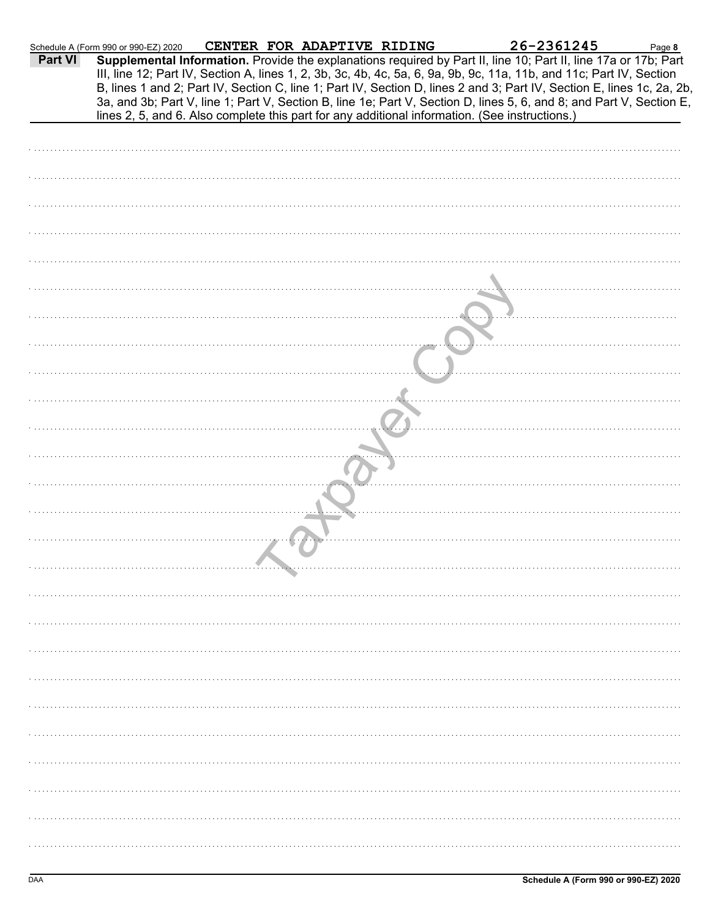|         | Schedule A (Form 990 or 990-EZ) 2020 | CENTER FOR ADAPTIVE RIDING |                                                                                                | 26-2361245                                                                                                                                                                                                                                                                                                                                                        | Page 8 |
|---------|--------------------------------------|----------------------------|------------------------------------------------------------------------------------------------|-------------------------------------------------------------------------------------------------------------------------------------------------------------------------------------------------------------------------------------------------------------------------------------------------------------------------------------------------------------------|--------|
| Part VI |                                      |                            |                                                                                                | Supplemental Information. Provide the explanations required by Part II, line 10; Part II, line 17a or 17b; Part<br>III, line 12; Part IV, Section A, lines 1, 2, 3b, 3c, 4b, 4c, 5a, 6, 9a, 9b, 9c, 11a, 11b, and 11c; Part IV, Section<br>B, lines 1 and 2; Part IV, Section C, line 1; Part IV, Section D, lines 2 and 3; Part IV, Section E, lines 1c, 2a, 2b, |        |
|         |                                      |                            | lines 2, 5, and 6. Also complete this part for any additional information. (See instructions.) | 3a, and 3b; Part V, line 1; Part V, Section B, line 1e; Part V, Section D, lines 5, 6, and 8; and Part V, Section E,                                                                                                                                                                                                                                              |        |
|         |                                      |                            |                                                                                                |                                                                                                                                                                                                                                                                                                                                                                   |        |
|         |                                      |                            |                                                                                                |                                                                                                                                                                                                                                                                                                                                                                   |        |
|         |                                      |                            |                                                                                                |                                                                                                                                                                                                                                                                                                                                                                   |        |
|         |                                      |                            |                                                                                                |                                                                                                                                                                                                                                                                                                                                                                   |        |
|         |                                      |                            |                                                                                                |                                                                                                                                                                                                                                                                                                                                                                   |        |
|         |                                      |                            |                                                                                                |                                                                                                                                                                                                                                                                                                                                                                   |        |
|         |                                      |                            |                                                                                                |                                                                                                                                                                                                                                                                                                                                                                   |        |
|         |                                      |                            |                                                                                                |                                                                                                                                                                                                                                                                                                                                                                   |        |
|         |                                      |                            |                                                                                                |                                                                                                                                                                                                                                                                                                                                                                   |        |
|         |                                      |                            |                                                                                                |                                                                                                                                                                                                                                                                                                                                                                   |        |
|         |                                      |                            |                                                                                                |                                                                                                                                                                                                                                                                                                                                                                   |        |
|         |                                      |                            |                                                                                                |                                                                                                                                                                                                                                                                                                                                                                   |        |
|         |                                      |                            |                                                                                                |                                                                                                                                                                                                                                                                                                                                                                   |        |
|         |                                      |                            |                                                                                                |                                                                                                                                                                                                                                                                                                                                                                   |        |
|         |                                      |                            |                                                                                                |                                                                                                                                                                                                                                                                                                                                                                   |        |
|         |                                      |                            |                                                                                                |                                                                                                                                                                                                                                                                                                                                                                   |        |
|         |                                      |                            |                                                                                                |                                                                                                                                                                                                                                                                                                                                                                   |        |
|         |                                      |                            |                                                                                                |                                                                                                                                                                                                                                                                                                                                                                   |        |
|         |                                      |                            |                                                                                                |                                                                                                                                                                                                                                                                                                                                                                   |        |
|         |                                      |                            |                                                                                                |                                                                                                                                                                                                                                                                                                                                                                   |        |
|         |                                      |                            |                                                                                                |                                                                                                                                                                                                                                                                                                                                                                   |        |
|         |                                      |                            |                                                                                                |                                                                                                                                                                                                                                                                                                                                                                   |        |
|         |                                      |                            |                                                                                                |                                                                                                                                                                                                                                                                                                                                                                   |        |
|         |                                      |                            |                                                                                                |                                                                                                                                                                                                                                                                                                                                                                   |        |
|         |                                      |                            |                                                                                                |                                                                                                                                                                                                                                                                                                                                                                   |        |
|         |                                      |                            |                                                                                                |                                                                                                                                                                                                                                                                                                                                                                   |        |
|         |                                      |                            |                                                                                                |                                                                                                                                                                                                                                                                                                                                                                   |        |
|         |                                      |                            |                                                                                                |                                                                                                                                                                                                                                                                                                                                                                   |        |
|         |                                      |                            |                                                                                                |                                                                                                                                                                                                                                                                                                                                                                   |        |
|         |                                      |                            |                                                                                                |                                                                                                                                                                                                                                                                                                                                                                   |        |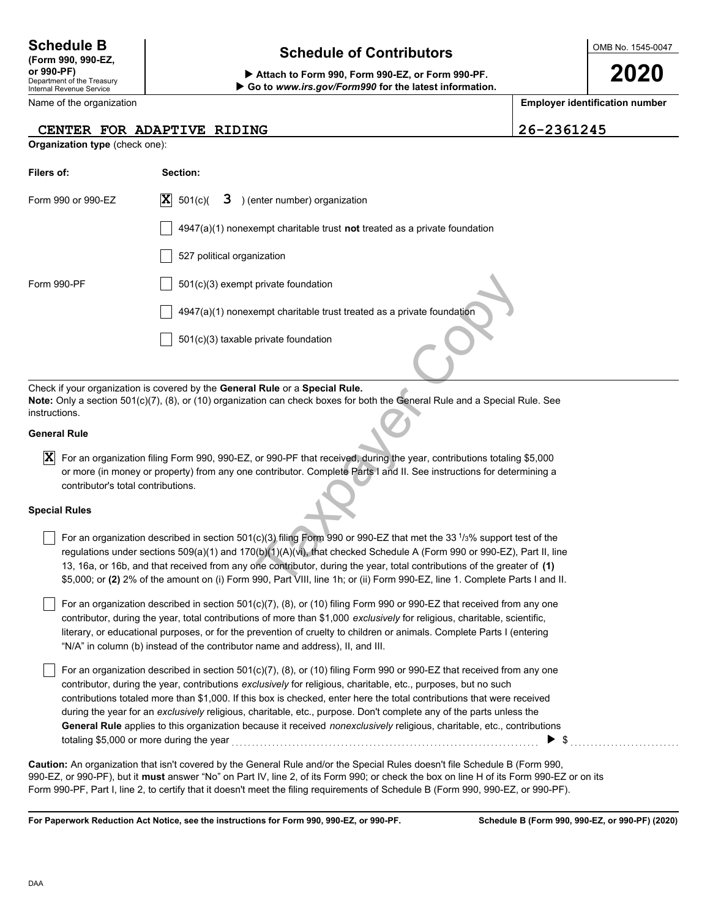| Schedule B                 |
|----------------------------|
| (Form 990, 990-EZ,         |
| or 990-PF)                 |
| Denartment of the Treasury |

## **Schedule of Contributors**

**or 990-PF) Attach to Form 990, Form 990-EZ, or Form 990-PF. Go to** *www.irs.gov/Form990* **for the latest information.** OMB No. 1545-0047

**Employer identification number**

| or 990-PF)                                                    |  |
|---------------------------------------------------------------|--|
| Department of the Treasury<br><b>Internal Revenue Service</b> |  |
| Name of the organization                                      |  |

## **CENTER FOR ADAPTIVE RIDING 26-2361245**

**Organization type** (check one):

| regulations under sections $509(a)(1)$ and $170(b)(1)(A)(vi)$ , that checked Schedule A (Form 990 or 990-EZ), Part II, line<br>\$5,000; or (2) 2% of the amount on (i) Form 990, Part VIII, line 1h; or (ii) Form 990-EZ, line 1. Complete Parts I and II. |
|------------------------------------------------------------------------------------------------------------------------------------------------------------------------------------------------------------------------------------------------------------|

## **General Rule**

## **Special Rules**

literary, or educational purposes, or for the prevention of cruelty to children or animals. Complete Parts I (entering For an organization described in section 501(c)(7), (8), or (10) filing Form 990 or 990-EZ that received from any one contributor, during the year, total contributions of more than \$1,000 *exclusively* for religious, charitable, scientific, "N/A" in column (b) instead of the contributor name and address), II, and III.

For an organization described in section 501(c)(7), (8), or (10) filing Form 990 or 990-EZ that received from any one contributor, during the year, contributions *exclusively* for religious, charitable, etc., purposes, but no such contributions totaled more than \$1,000. If this box is checked, enter here the total contributions that were received during the year for an *exclusively* religious, charitable, etc., purpose. Don't complete any of the parts unless the **General Rule** applies to this organization because it received *nonexclusively* religious, charitable, etc., contributions totaling \$5,000 or more during the year *compare content in the compare content in the s* successive and the set of the set of the set of the set of the set of the set of the set of the set of the set of the set of the se

990-EZ, or 990-PF), but it **must** answer "No" on Part IV, line 2, of its Form 990; or check the box on line H of its Form 990-EZ or on its Form 990-PF, Part I, line 2, to certify that it doesn't meet the filing requirements of Schedule B (Form 990, 990-EZ, or 990-PF). **Caution:** An organization that isn't covered by the General Rule and/or the Special Rules doesn't file Schedule B (Form 990,

**For Paperwork Reduction Act Notice, see the instructions for Form 990, 990-EZ, or 990-PF.**

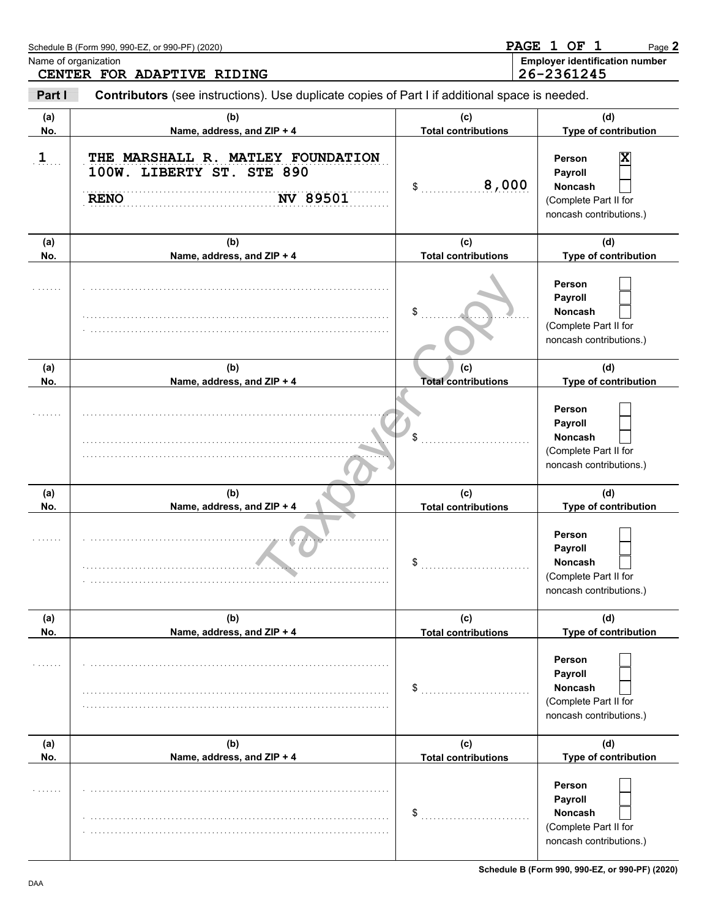|                      | Schedule B (Form 990, 990-EZ, or 990-PF) (2020)                                                  | PAGE 1 OF 1<br>Page 2             |                                                                                              |  |  |
|----------------------|--------------------------------------------------------------------------------------------------|-----------------------------------|----------------------------------------------------------------------------------------------|--|--|
| Name of organization | CENTER FOR ADAPTIVE RIDING                                                                       |                                   | <b>Employer identification number</b><br>26-2361245                                          |  |  |
| Part I               | Contributors (see instructions). Use duplicate copies of Part I if additional space is needed.   |                                   |                                                                                              |  |  |
| (a)<br>No.           | (b)<br>Name, address, and ZIP + 4                                                                | (C)<br><b>Total contributions</b> | (d)<br>Type of contribution                                                                  |  |  |
| $\mathbf{1}_{\dots}$ | THE MARSHALL R. MATLEY FOUNDATION<br>100W. LIBERTY ST. STE 890<br><b>NV 89501</b><br><b>RENO</b> | 8,000<br>\$                       | Person<br>Χ<br>Payroll<br><b>Noncash</b><br>(Complete Part II for<br>noncash contributions.) |  |  |
| (a)<br>No.           | (b)<br>Name, address, and ZIP + 4                                                                | (c)<br><b>Total contributions</b> | (d)<br>Type of contribution                                                                  |  |  |
|                      |                                                                                                  | \$                                | Person<br>Payroll<br>Noncash<br>(Complete Part II for<br>noncash contributions.)             |  |  |
| (a)<br>No.           | (b)<br>Name, address, and ZIP + 4                                                                | (c)<br><b>Total contributions</b> | (d)<br>Type of contribution                                                                  |  |  |
|                      |                                                                                                  |                                   | Person<br>Payroll<br><b>Noncash</b><br>(Complete Part II for<br>noncash contributions.)      |  |  |
| (a)<br>No.           | (b)<br>Name, address, and ZIP + 4                                                                | (c)<br><b>Total contributions</b> | (d)<br>Type of contribution                                                                  |  |  |
|                      |                                                                                                  | P.                                | Person<br>Payroll<br><b>Noncash</b><br>(Complete Part II for<br>noncash contributions.)      |  |  |
| (a)<br>No.           | (b)<br>Name, address, and ZIP + 4                                                                | (c)<br><b>Total contributions</b> | (d)<br>Type of contribution                                                                  |  |  |
|                      |                                                                                                  | \$                                | Person<br>Payroll<br>Noncash<br>(Complete Part II for<br>noncash contributions.)             |  |  |
| (a)<br>No.           | (b)<br>Name, address, and ZIP + 4                                                                | (c)<br><b>Total contributions</b> | (d)<br>Type of contribution                                                                  |  |  |
|                      |                                                                                                  | \$                                | Person<br>Payroll<br>Noncash<br>(Complete Part II for<br>noncash contributions.)             |  |  |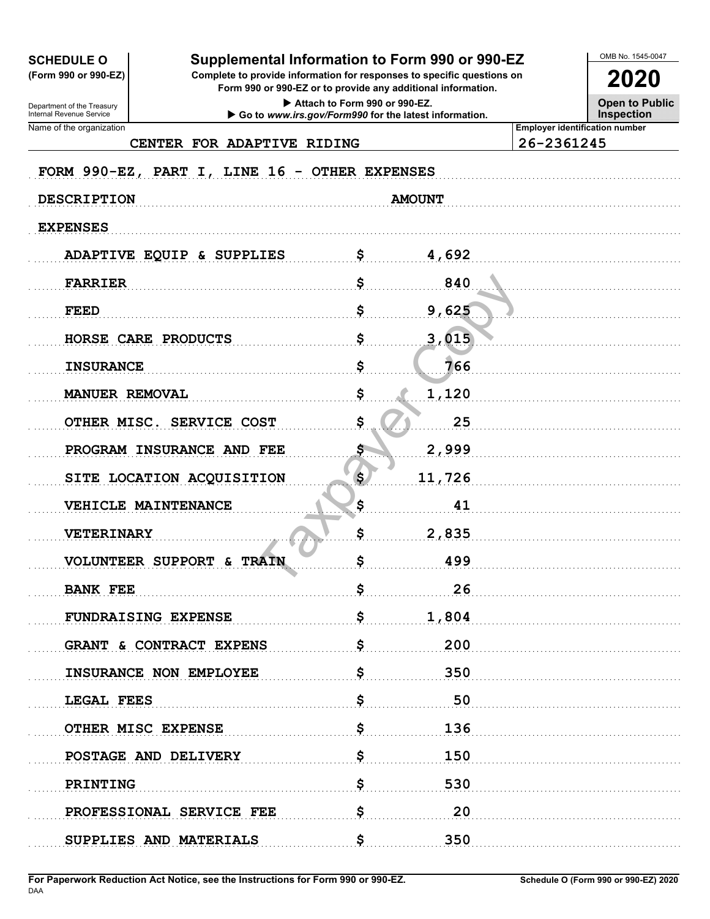| <b>SCHEDULE O</b>                                    | Supplemental Information to Form 990 or 990-EZ                                                |                     |               |  |                                                     |  |  |
|------------------------------------------------------|-----------------------------------------------------------------------------------------------|---------------------|---------------|--|-----------------------------------------------------|--|--|
| (Form 990 or 990-EZ)                                 | Complete to provide information for responses to specific questions on                        | <b>2020</b>         |               |  |                                                     |  |  |
| Department of the Treasury                           | Form 990 or 990-EZ or to provide any additional information.<br>Attach to Form 990 or 990-EZ. |                     |               |  |                                                     |  |  |
| Internal Revenue Service<br>Name of the organization | Go to www.irs.gov/Form990 for the latest information.                                         |                     |               |  |                                                     |  |  |
|                                                      | CENTER FOR ADAPTIVE RIDING                                                                    |                     |               |  | <b>Employer identification number</b><br>26-2361245 |  |  |
|                                                      | FORM 990-EZ, PART I, LINE 16 - OTHER EXPENSES                                                 |                     |               |  |                                                     |  |  |
| <b>DESCRIPTION</b>                                   |                                                                                               |                     | <b>AMOUNT</b> |  |                                                     |  |  |
| <b>EXPENSES</b>                                      |                                                                                               |                     |               |  |                                                     |  |  |
|                                                      | ADAPTIVE EQUIP & SUPPLIES                                                                     | \$                  | 4,692         |  |                                                     |  |  |
| <b>FARRIER</b>                                       |                                                                                               | \$                  | 840           |  |                                                     |  |  |
| <b>FEED</b>                                          |                                                                                               | \$                  | 9,625         |  |                                                     |  |  |
|                                                      | HORSE CARE PRODUCTS                                                                           | \$                  | 3,015         |  |                                                     |  |  |
| <b>INSURANCE</b>                                     |                                                                                               | \$                  | 766           |  |                                                     |  |  |
| MANUER REMOVAL                                       |                                                                                               | \$                  | 1,120         |  |                                                     |  |  |
| OTHER MISC.                                          | SERVICE COST                                                                                  | \$                  | 25            |  |                                                     |  |  |
|                                                      | PROGRAM INSURANCE AND FEE                                                                     | \$                  | 2,999         |  |                                                     |  |  |
|                                                      | SITE LOCATION ACQUISITION                                                                     | $\ddot{\mathbf{S}}$ | 11,726        |  |                                                     |  |  |
|                                                      | VEHICLE MAINTENANCE                                                                           | \$                  | 41            |  |                                                     |  |  |
| <b>VETERINARY</b>                                    |                                                                                               | \$                  | 2,835         |  |                                                     |  |  |
|                                                      | VOLUNTEER SUPPORT & TRAIN                                                                     | \$                  | 499           |  |                                                     |  |  |
| <b>BANK FEE</b>                                      |                                                                                               | \$                  | 26            |  |                                                     |  |  |
|                                                      | FUNDRAISING EXPENSE                                                                           | \$                  | 1,804         |  |                                                     |  |  |
|                                                      | <b>GRANT &amp; CONTRACT EXPENS</b>                                                            | \$                  | 200           |  |                                                     |  |  |
|                                                      | INSURANCE NON EMPLOYEE                                                                        | \$                  | 350           |  |                                                     |  |  |
| LEGAL FEES                                           |                                                                                               | \$                  | 50            |  |                                                     |  |  |
| OTHER MISC EXPENSE                                   |                                                                                               | \$                  | 136           |  |                                                     |  |  |
|                                                      | POSTAGE AND DELIVERY                                                                          | \$                  | 150           |  |                                                     |  |  |
| PRINTING                                             |                                                                                               | \$                  | 530           |  |                                                     |  |  |
|                                                      | PROFESSIONAL SERVICE FEE                                                                      | \$                  | 20            |  |                                                     |  |  |
|                                                      | SUPPLIES AND MATERIALS                                                                        | \$                  | 350           |  |                                                     |  |  |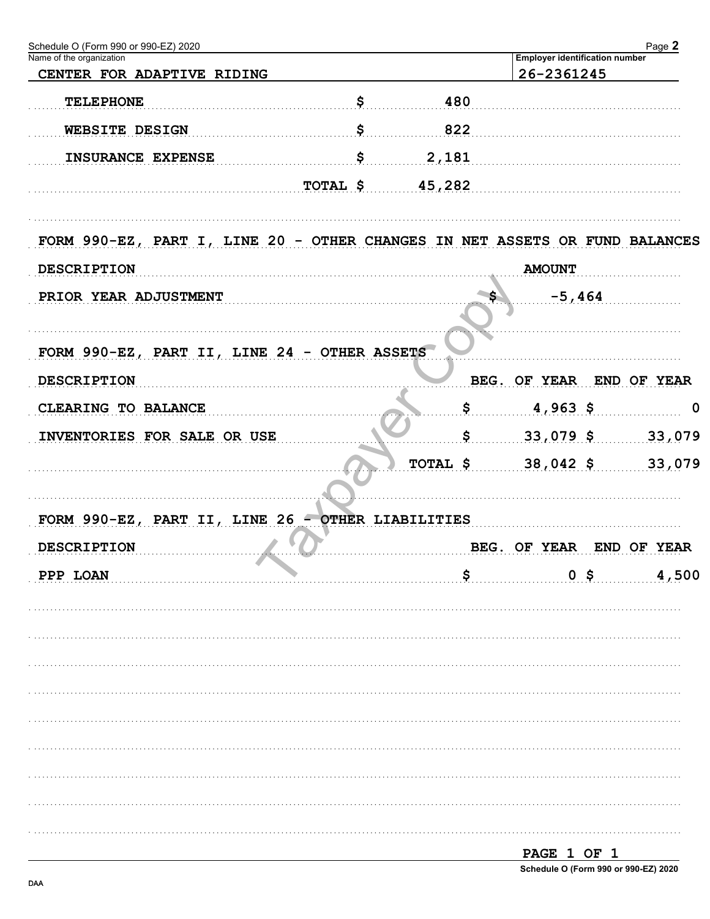| Schedule O (Form 990 or 990-EZ) 2020                                        |                   |          |                                                     | Page 2      |
|-----------------------------------------------------------------------------|-------------------|----------|-----------------------------------------------------|-------------|
| Name of the organization<br>CENTER FOR ADAPTIVE RIDING                      |                   |          | <b>Employer identification number</b><br>26-2361245 |             |
|                                                                             |                   |          |                                                     |             |
| <b>TELEPHONE</b>                                                            | \$<br>480         |          |                                                     |             |
| WEBSITE DESIGN                                                              | \$<br>822         |          |                                                     |             |
| <b>INSURANCE EXPENSE</b>                                                    | \$<br>2,181       |          |                                                     |             |
| TOTAL \$                                                                    | 45,282            |          |                                                     |             |
| FORM 990-EZ, PART I, LINE 20 - OTHER CHANGES IN NET ASSETS OR FUND BALANCES |                   |          |                                                     |             |
| <b>DESCRIPTION</b>                                                          |                   |          | <b>AMOUNT</b>                                       |             |
| PRIOR YEAR ADJUSTMENT                                                       |                   | <b>S</b> | $-5,464$                                            |             |
| FORM 990-EZ, PART II, LINE 24 - OTHER ASSETS                                |                   |          |                                                     |             |
| <b>DESCRIPTION</b>                                                          |                   |          | <b>BEG. OF YEAR</b>                                 | END OF YEAR |
| CLEARING TO BALANCE                                                         | \$                |          | $4,963$ \$                                          |             |
| INVENTORIES FOR SALE OR USE                                                 | \$                |          | $33,079$ \$                                         | 33,079      |
|                                                                             | TOTAL \$          |          | $38,042$ \$                                         | 33,079      |
|                                                                             |                   |          |                                                     |             |
| FORM 990-EZ, PART II, LINE 26                                               | OTHER LIABILITIES |          |                                                     |             |
|                                                                             |                   |          |                                                     | END OF YEAR |
| <b>DESCRIPTION</b>                                                          |                   |          | BEG. OF YEAR                                        |             |
| PPP LOAN                                                                    | \$                |          | $0$ \$                                              | 4,500       |
|                                                                             |                   |          |                                                     |             |
|                                                                             |                   |          |                                                     |             |
|                                                                             |                   |          |                                                     |             |
|                                                                             |                   |          |                                                     |             |
|                                                                             |                   |          |                                                     |             |
|                                                                             |                   |          |                                                     |             |
|                                                                             |                   |          |                                                     |             |
|                                                                             |                   |          |                                                     |             |
|                                                                             |                   |          |                                                     |             |

| PAGE 1 OF 1                          |  |  |  |
|--------------------------------------|--|--|--|
| Schedule O (Form 990 or 990-EZ) 2020 |  |  |  |